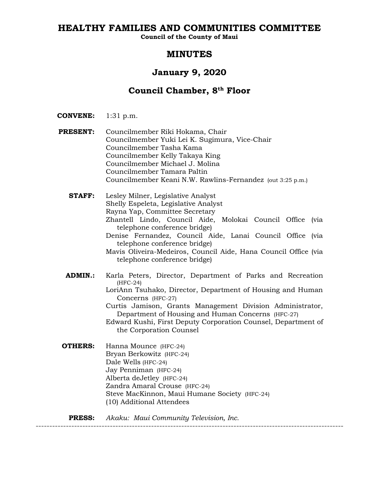# **HEALTHY FAMILIES AND COMMUNITIES COMMITTEE**

**Council of the County of Maui**

# **MINUTES**

# **January 9, 2020**

# **Council Chamber, 8th Floor**

- **CONVENE:** 1:31 p.m.
- **PRESENT:** Councilmember Riki Hokama, Chair Councilmember Yuki Lei K. Sugimura, Vice-Chair Councilmember Tasha Kama Councilmember Kelly Takaya King Councilmember Michael J. Molina Councilmember Tamara Paltin Councilmember Keani N.W. Rawlins-Fernandez (out 3:25 p.m.)

**STAFF:** Lesley Milner, Legislative Analyst Shelly Espeleta, Legislative Analyst Rayna Yap, Committee Secretary Zhantell Lindo, Council Aide, Molokai Council Office (via telephone conference bridge)

- Denise Fernandez, Council Aide, Lanai Council Office (via telephone conference bridge)
- Mavis Oliveira-Medeiros, Council Aide, Hana Council Office (via telephone conference bridge)
- **ADMIN.:** Karla Peters, Director, Department of Parks and Recreation (HFC-24) LoriAnn Tsuhako, Director, Department of Housing and Human Concerns (HFC-27)

Curtis Jamison, Grants Management Division Administrator, Department of Housing and Human Concerns (HFC-27)

Edward Kushi, First Deputy Corporation Counsel, Department of the Corporation Counsel

**OTHERS:** Hanna Mounce (HFC-24) Bryan Berkowitz (HFC-24) Dale Wells (HFC-24) Jay Penniman (HFC-24) Alberta deJetley (HFC-24) Zandra Amaral Crouse (HFC-24) Steve MacKinnon, Maui Humane Society (HFC-24) (10) Additional Attendees

----------------------------------------------------------------------------------------------------------------

**PRESS:** *Akaku: Maui Community Television, Inc.*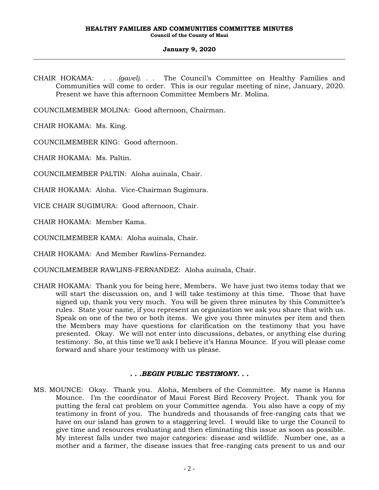CHAIR HOKAMA: *. . .(gavel). . .* The Council's Committee on Healthy Families and Communities will come to order. This is our regular meeting of nine, January, 2020. Present we have this afternoon Committee Members Mr. Molina.

COUNCILMEMBER MOLINA: Good afternoon, Chairman.

CHAIR HOKAMA: Ms. King.

COUNCILMEMBER KING: Good afternoon.

CHAIR HOKAMA: Ms. Paltin.

COUNCILMEMBER PALTIN: Aloha auinala, Chair.

CHAIR HOKAMA: Aloha. Vice-Chairman Sugimura.

VICE CHAIR SUGIMURA: Good afternoon, Chair.

CHAIR HOKAMA: Member Kama.

COUNCILMEMBER KAMA: Aloha auinala, Chair.

CHAIR HOKAMA: And Member Rawlins-Fernandez.

COUNCILMEMBER RAWLINS-FERNANDEZ: Aloha auinala, Chair.

CHAIR HOKAMA: Thank you for being here, Members. We have just two items today that we will start the discussion on, and I will take testimony at this time. Those that have signed up, thank you very much. You will be given three minutes by this Committee's rules. State your name, if you represent an organization we ask you share that with us. Speak on one of the two or both items. We give you three minutes per item and then the Members may have questions for clarification on the testimony that you have presented. Okay. We will not enter into discussions, debates, or anything else during testimony. So, at this time we'll ask I believe it's Hanna Mounce. If you will please come forward and share your testimony with us please.

# *. . .BEGIN PUBLIC TESTIMONY. . .*

MS. MOUNCE: Okay. Thank you. Aloha, Members of the Committee. My name is Hanna Mounce. I'm the coordinator of Maui Forest Bird Recovery Project. Thank you for putting the feral cat problem on your Committee agenda. You also have a copy of my testimony in front of you. The hundreds and thousands of free-ranging cats that we have on our island has grown to a staggering level. I would like to urge the Council to give time and resources evaluating and then eliminating this issue as soon as possible. My interest falls under two major categories: disease and wildlife. Number one, as a mother and a farmer, the disease issues that free-ranging cats present to us and our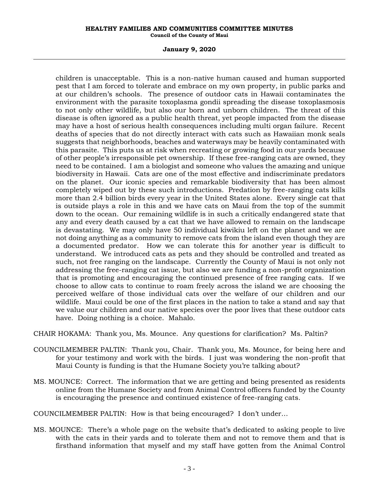#### **HEALTHY FAMILIES AND COMMUNITIES COMMITTEE MINUTES Council of the County of Maui**

#### **January 9, 2020**

children is unacceptable. This is a non-native human caused and human supported pest that I am forced to tolerate and embrace on my own property, in public parks and at our children's schools. The presence of outdoor cats in Hawaii contaminates the environment with the parasite toxoplasma gondii spreading the disease toxoplasmosis to not only other wildlife, but also our born and unborn children. The threat of this disease is often ignored as a public health threat, yet people impacted from the disease may have a host of serious health consequences including multi organ failure. Recent deaths of species that do not directly interact with cats such as Hawaiian monk seals suggests that neighborhoods, beaches and waterways may be heavily contaminated with this parasite. This puts us at risk when recreating or growing food in our yards because of other people's irresponsible pet ownership. If these free-ranging cats are owned, they need to be contained. I am a biologist and someone who values the amazing and unique biodiversity in Hawaii. Cats are one of the most effective and indiscriminate predators on the planet. Our iconic species and remarkable biodiversity that has been almost completely wiped out by these such introductions. Predation by free-ranging cats kills more than 2.4 billion birds every year in the United States alone. Every single cat that is outside plays a role in this and we have cats on Maui from the top of the summit down to the ocean. Our remaining wildlife is in such a critically endangered state that any and every death caused by a cat that we have allowed to remain on the landscape is devastating. We may only have 50 individual kiwikiu left on the planet and we are not doing anything as a community to remove cats from the island even though they are a documented predator. How we can tolerate this for another year is difficult to understand. We introduced cats as pets and they should be controlled and treated as such, not free ranging on the landscape. Currently the County of Maui is not only not addressing the free-ranging cat issue, but also we are funding a non-profit organization that is promoting and encouraging the continued presence of free ranging cats. If we choose to allow cats to continue to roam freely across the island we are choosing the perceived welfare of those individual cats over the welfare of our children and our wildlife. Maui could be one of the first places in the nation to take a stand and say that we value our children and our native species over the poor lives that these outdoor cats have. Doing nothing is a choice. Mahalo.

CHAIR HOKAMA: Thank you, Ms. Mounce. Any questions for clarification? Ms. Paltin?

- COUNCILMEMBER PALTIN: Thank you, Chair. Thank you, Ms. Mounce, for being here and for your testimony and work with the birds. I just was wondering the non-profit that Maui County is funding is that the Humane Society you're talking about?
- MS. MOUNCE: Correct. The information that we are getting and being presented as residents online from the Humane Society and from Animal Control officers funded by the County is encouraging the presence and continued existence of free-ranging cats.

COUNCILMEMBER PALTIN: How is that being encouraged? I don't under…

MS. MOUNCE: There's a whole page on the website that's dedicated to asking people to live with the cats in their yards and to tolerate them and not to remove them and that is firsthand information that myself and my staff have gotten from the Animal Control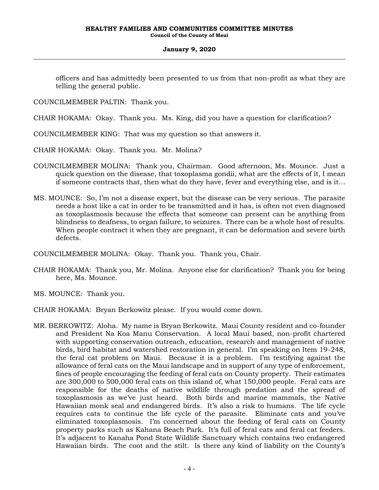officers and has admittedly been presented to us from that non-profit as what they are telling the general public.

COUNCILMEMBER PALTIN: Thank you.

CHAIR HOKAMA: Okay. Thank you. Ms. King, did you have a question for clarification?

COUNCILMEMBER KING: That was my question so that answers it.

CHAIR HOKAMA: Okay. Thank you. Mr. Molina?

- COUNCILMEMBER MOLINA: Thank you, Chairman. Good afternoon, Ms. Mounce. Just a quick question on the disease, that toxoplasma gondii, what are the effects of it, I mean if someone contracts that, then what do they have, fever and everything else, and is it…
- MS. MOUNCE: So, I'm not a disease expert, but the disease can be very serious. The parasite needs a host like a cat in order to be transmitted and it has, is often not even diagnosed as toxoplasmosis because the effects that someone can present can be anything from blindness to deafness, to organ failure, to seizures. There can be a whole host of results. When people contract it when they are pregnant, it can be deformation and severe birth defects.

COUNCILMEMBER MOLINA: Okay. Thank you. Thank you, Chair.

- CHAIR HOKAMA: Thank you, Mr. Molina. Anyone else for clarification? Thank you for being here, Ms. Mounce.
- MS. MOUNCE: Thank you.
- CHAIR HOKAMA: Bryan Berkowitz please. If you would come down.
- MR. BERKOWITZ: Aloha. My name is Bryan Berkowitz. Maui County resident and co-founder and President Na Koa Manu Conservation. A local Maui based, non-profit chartered with supporting conservation outreach, education, research and management of native birds, bird habitat and watershed restoration in general. I'm speaking on Item 19-248, the feral cat problem on Maui. Because it is a problem. I'm testifying against the allowance of feral cats on the Maui landscape and in support of any type of enforcement, fines of people encouraging the feeding of feral cats on County property. Their estimates are 300,000 to 500,000 feral cats on this island of, what 150,000 people. Feral cats are responsible for the deaths of native wildlife through predation and the spread of toxoplasmosis as we've just heard. Both birds and marine mammals, the Native Hawaiian monk seal and endangered birds. It's also a risk to humans. The life cycle requires cats to continue the life cycle of the parasite. Eliminate cats and you've eliminated toxoplasmosis. I'm concerned about the feeding of feral cats on County property parks such as Kahana Beach Park. It's full of feral cats and feral cat feeders. It's adjacent to Kanaha Pond State Wildlife Sanctuary which contains two endangered Hawaiian birds. The coot and the stilt. Is there any kind of liability on the County's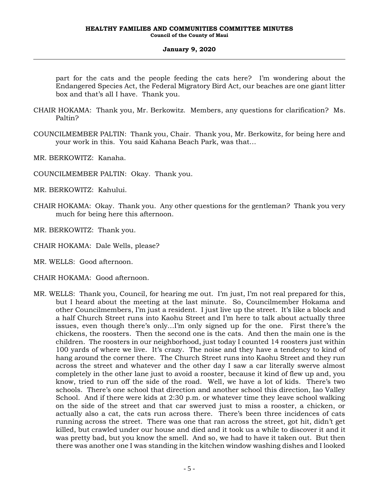part for the cats and the people feeding the cats here? I'm wondering about the Endangered Species Act, the Federal Migratory Bird Act, our beaches are one giant litter box and that's all I have. Thank you.

- CHAIR HOKAMA: Thank you, Mr. Berkowitz. Members, any questions for clarification? Ms. Paltin?
- COUNCILMEMBER PALTIN: Thank you, Chair. Thank you, Mr. Berkowitz, for being here and your work in this. You said Kahana Beach Park, was that…

MR. BERKOWITZ: Kanaha.

- COUNCILMEMBER PALTIN: Okay. Thank you.
- MR. BERKOWITZ: Kahului.
- CHAIR HOKAMA: Okay. Thank you. Any other questions for the gentleman? Thank you very much for being here this afternoon.
- MR. BERKOWITZ: Thank you.
- CHAIR HOKAMA: Dale Wells, please?
- MR. WELLS: Good afternoon.
- CHAIR HOKAMA: Good afternoon.
- MR. WELLS: Thank you, Council, for hearing me out. I'm just, I'm not real prepared for this, but I heard about the meeting at the last minute. So, Councilmember Hokama and other Councilmembers, I'm just a resident. I just live up the street. It's like a block and a half Church Street runs into Kaohu Street and I'm here to talk about actually three issues, even though there's only…I'm only signed up for the one. First there's the chickens, the roosters. Then the second one is the cats. And then the main one is the children. The roosters in our neighborhood, just today I counted 14 roosters just within 100 yards of where we live. It's crazy. The noise and they have a tendency to kind of hang around the corner there. The Church Street runs into Kaohu Street and they run across the street and whatever and the other day I saw a car literally swerve almost completely in the other lane just to avoid a rooster, because it kind of flew up and, you know, tried to run off the side of the road. Well, we have a lot of kids. There's two schools. There's one school that direction and another school this direction, Iao Valley School. And if there were kids at 2:30 p.m. or whatever time they leave school walking on the side of the street and that car swerved just to miss a rooster, a chicken, or actually also a cat, the cats run across there. There's been three incidences of cats running across the street. There was one that ran across the street, got hit, didn't get killed, but crawled under our house and died and it took us a while to discover it and it was pretty bad, but you know the smell. And so, we had to have it taken out. But then there was another one I was standing in the kitchen window washing dishes and I looked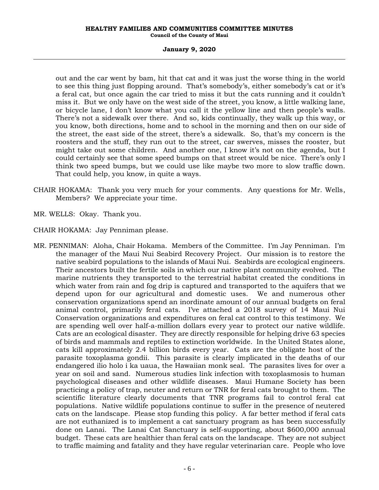#### **HEALTHY FAMILIES AND COMMUNITIES COMMITTEE MINUTES Council of the County of Maui**

#### **January 9, 2020**

out and the car went by bam, hit that cat and it was just the worse thing in the world to see this thing just flopping around. That's somebody's, either somebody's cat or it's a feral cat, but once again the car tried to miss it but the cats running and it couldn't miss it. But we only have on the west side of the street, you know, a little walking lane, or bicycle lane, I don't know what you call it the yellow line and then people's walls. There's not a sidewalk over there. And so, kids continually, they walk up this way, or you know, both directions, home and to school in the morning and then on our side of the street, the east side of the street, there's a sidewalk. So, that's my concern is the roosters and the stuff, they run out to the street, car swerves, misses the rooster, but might take out some children. And another one, I know it's not on the agenda, but I could certainly see that some speed bumps on that street would be nice. There's only I think two speed bumps, but we could use like maybe two more to slow traffic down. That could help, you know, in quite a ways.

- CHAIR HOKAMA: Thank you very much for your comments. Any questions for Mr. Wells, Members? We appreciate your time.
- MR. WELLS: Okay. Thank you.
- CHAIR HOKAMA: Jay Penniman please.
- MR. PENNIMAN: Aloha, Chair Hokama. Members of the Committee. I'm Jay Penniman. I'm the manager of the Maui Nui Seabird Recovery Project. Our mission is to restore the native seabird populations to the islands of Maui Nui. Seabirds are ecological engineers. Their ancestors built the fertile soils in which our native plant community evolved. The marine nutrients they transported to the terrestrial habitat created the conditions in which water from rain and fog drip is captured and transported to the aquifers that we depend upon for our agricultural and domestic uses. We and numerous other conservation organizations spend an inordinate amount of our annual budgets on feral animal control, primarily feral cats. I've attached a 2018 survey of 14 Maui Nui Conservation organizations and expenditures on feral cat control to this testimony. We are spending well over half-a-million dollars every year to protect our native wildlife. Cats are an ecological disaster. They are directly responsible for helping drive 63 species of birds and mammals and reptiles to extinction worldwide. In the United States alone, cats kill approximately 2.4 billion birds every year. Cats are the obligate host of the parasite toxoplasma gondii. This parasite is clearly implicated in the deaths of our endangered ilio holo i ka uaua, the Hawaiian monk seal. The parasites lives for over a year on soil and sand. Numerous studies link infection with toxoplasmosis to human psychological diseases and other wildlife diseases. Maui Humane Society has been practicing a policy of trap, neuter and return or TNR for feral cats brought to them. The scientific literature clearly documents that TNR programs fail to control feral cat populations. Native wildlife populations continue to suffer in the presence of neutered cats on the landscape. Please stop funding this policy. A far better method if feral cats are not euthanized is to implement a cat sanctuary program as has been successfully done on Lanai. The Lanai Cat Sanctuary is self-supporting, about \$600,000 annual budget. These cats are healthier than feral cats on the landscape. They are not subject to traffic maiming and fatality and they have regular veterinarian care. People who love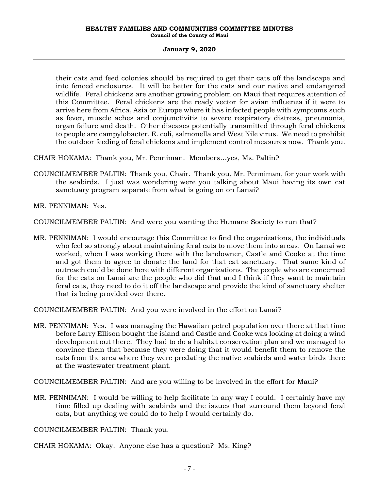their cats and feed colonies should be required to get their cats off the landscape and into fenced enclosures. It will be better for the cats and our native and endangered wildlife. Feral chickens are another growing problem on Maui that requires attention of this Committee. Feral chickens are the ready vector for avian influenza if it were to arrive here from Africa, Asia or Europe where it has infected people with symptoms such as fever, muscle aches and conjunctivitis to severe respiratory distress, pneumonia, organ failure and death. Other diseases potentially transmitted through feral chickens to people are campylobacter, E. coli, salmonella and West Nile virus. We need to prohibit the outdoor feeding of feral chickens and implement control measures now. Thank you.

CHAIR HOKAMA: Thank you, Mr. Penniman. Members…yes, Ms. Paltin?

- COUNCILMEMBER PALTIN: Thank you, Chair. Thank you, Mr. Penniman, for your work with the seabirds. I just was wondering were you talking about Maui having its own cat sanctuary program separate from what is going on on Lanai?
- MR. PENNIMAN: Yes.

COUNCILMEMBER PALTIN: And were you wanting the Humane Society to run that?

MR. PENNIMAN: I would encourage this Committee to find the organizations, the individuals who feel so strongly about maintaining feral cats to move them into areas. On Lanai we worked, when I was working there with the landowner, Castle and Cooke at the time and got them to agree to donate the land for that cat sanctuary. That same kind of outreach could be done here with different organizations. The people who are concerned for the cats on Lanai are the people who did that and I think if they want to maintain feral cats, they need to do it off the landscape and provide the kind of sanctuary shelter that is being provided over there.

COUNCILMEMBER PALTIN: And you were involved in the effort on Lanai?

MR. PENNIMAN: Yes. I was managing the Hawaiian petrel population over there at that time before Larry Ellison bought the island and Castle and Cooke was looking at doing a wind development out there. They had to do a habitat conservation plan and we managed to convince them that because they were doing that it would benefit them to remove the cats from the area where they were predating the native seabirds and water birds there at the wastewater treatment plant.

COUNCILMEMBER PALTIN: And are you willing to be involved in the effort for Maui?

MR. PENNIMAN: I would be willing to help facilitate in any way I could. I certainly have my time filled up dealing with seabirds and the issues that surround them beyond feral cats, but anything we could do to help I would certainly do.

COUNCILMEMBER PALTIN: Thank you.

CHAIR HOKAMA: Okay. Anyone else has a question? Ms. King?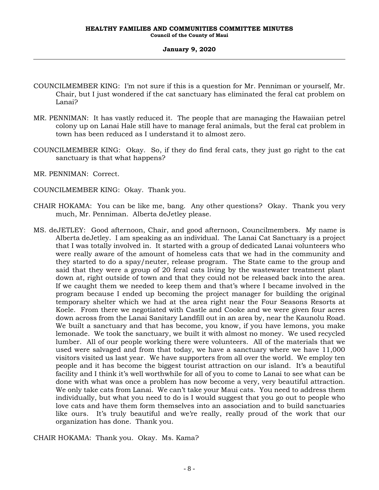- COUNCILMEMBER KING: I'm not sure if this is a question for Mr. Penniman or yourself, Mr. Chair, but I just wondered if the cat sanctuary has eliminated the feral cat problem on Lanai?
- MR. PENNIMAN: It has vastly reduced it. The people that are managing the Hawaiian petrel colony up on Lanai Hale still have to manage feral animals, but the feral cat problem in town has been reduced as I understand it to almost zero.
- COUNCILMEMBER KING: Okay. So, if they do find feral cats, they just go right to the cat sanctuary is that what happens?
- MR. PENNIMAN: Correct.
- COUNCILMEMBER KING: Okay. Thank you.
- CHAIR HOKAMA: You can be like me, bang. Any other questions? Okay. Thank you very much, Mr. Penniman. Alberta deJetley please.
- MS. deJETLEY: Good afternoon, Chair, and good afternoon, Councilmembers. My name is Alberta deJetley. I am speaking as an individual. The Lanai Cat Sanctuary is a project that I was totally involved in. It started with a group of dedicated Lanai volunteers who were really aware of the amount of homeless cats that we had in the community and they started to do a spay/neuter, release program. The State came to the group and said that they were a group of 20 feral cats living by the wastewater treatment plant down at, right outside of town and that they could not be released back into the area. If we caught them we needed to keep them and that's where I became involved in the program because I ended up becoming the project manager for building the original temporary shelter which we had at the area right near the Four Seasons Resorts at Koele. From there we negotiated with Castle and Cooke and we were given four acres down across from the Lanai Sanitary Landfill out in an area by, near the Kaunolu Road. We built a sanctuary and that has become, you know, if you have lemons, you make lemonade. We took the sanctuary, we built it with almost no money. We used recycled lumber. All of our people working there were volunteers. All of the materials that we used were salvaged and from that today, we have a sanctuary where we have 11,000 visitors visited us last year. We have supporters from all over the world. We employ ten people and it has become the biggest tourist attraction on our island. It's a beautiful facility and I think it's well worthwhile for all of you to come to Lanai to see what can be done with what was once a problem has now become a very, very beautiful attraction. We only take cats from Lanai. We can't take your Maui cats. You need to address them individually, but what you need to do is I would suggest that you go out to people who love cats and have them form themselves into an association and to build sanctuaries like ours. It's truly beautiful and we're really, really proud of the work that our organization has done. Thank you.

CHAIR HOKAMA: Thank you. Okay. Ms. Kama?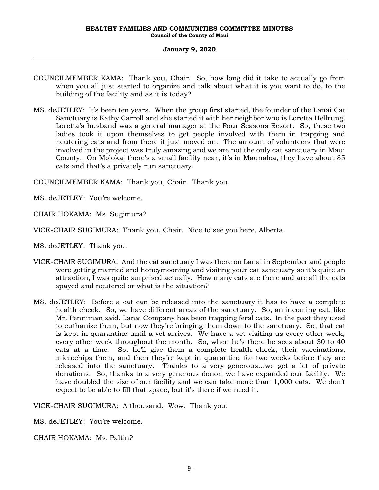#### **HEALTHY FAMILIES AND COMMUNITIES COMMITTEE MINUTES Council of the County of Maui**

#### **January 9, 2020**

- COUNCILMEMBER KAMA: Thank you, Chair. So, how long did it take to actually go from when you all just started to organize and talk about what it is you want to do, to the building of the facility and as it is today?
- MS. deJETLEY: It's been ten years. When the group first started, the founder of the Lanai Cat Sanctuary is Kathy Carroll and she started it with her neighbor who is Loretta Hellrung. Loretta's husband was a general manager at the Four Seasons Resort. So, these two ladies took it upon themselves to get people involved with them in trapping and neutering cats and from there it just moved on. The amount of volunteers that were involved in the project was truly amazing and we are not the only cat sanctuary in Maui County. On Molokai there's a small facility near, it's in Maunaloa, they have about 85 cats and that's a privately run sanctuary.

COUNCILMEMBER KAMA: Thank you, Chair. Thank you.

MS. deJETLEY: You're welcome.

CHAIR HOKAMA: Ms. Sugimura?

VICE-CHAIR SUGIMURA: Thank you, Chair. Nice to see you here, Alberta.

MS. deJETLEY: Thank you.

- VICE-CHAIR SUGIMURA: And the cat sanctuary I was there on Lanai in September and people were getting married and honeymooning and visiting your cat sanctuary so it's quite an attraction, I was quite surprised actually. How many cats are there and are all the cats spayed and neutered or what is the situation?
- MS. deJETLEY: Before a cat can be released into the sanctuary it has to have a complete health check. So, we have different areas of the sanctuary. So, an incoming cat, like Mr. Penniman said, Lanai Company has been trapping feral cats. In the past they used to euthanize them, but now they're bringing them down to the sanctuary. So, that cat is kept in quarantine until a vet arrives. We have a vet visiting us every other week, every other week throughout the month. So, when he's there he sees about 30 to 40 cats at a time. So, he'll give them a complete health check, their vaccinations, microchips them, and then they're kept in quarantine for two weeks before they are released into the sanctuary. Thanks to a very generous…we get a lot of private donations. So, thanks to a very generous donor, we have expanded our facility. We have doubled the size of our facility and we can take more than 1,000 cats. We don't expect to be able to fill that space, but it's there if we need it.

VICE-CHAIR SUGIMURA: A thousand. Wow. Thank you.

MS. deJETLEY: You're welcome.

CHAIR HOKAMA: Ms. Paltin?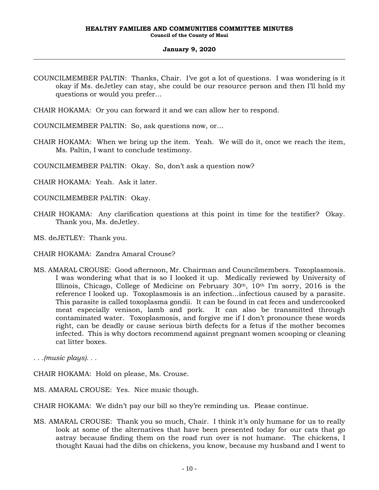- COUNCILMEMBER PALTIN: Thanks, Chair. I've got a lot of questions. I was wondering is it okay if Ms. deJetley can stay, she could be our resource person and then I'll hold my questions or would you prefer…
- CHAIR HOKAMA: Or you can forward it and we can allow her to respond.
- COUNCILMEMBER PALTIN: So, ask questions now, or…
- CHAIR HOKAMA: When we bring up the item. Yeah. We will do it, once we reach the item, Ms. Paltin, I want to conclude testimony.
- COUNCILMEMBER PALTIN: Okay. So, don't ask a question now?
- CHAIR HOKAMA: Yeah. Ask it later.
- COUNCILMEMBER PALTIN: Okay.
- CHAIR HOKAMA: Any clarification questions at this point in time for the testifier? Okay. Thank you, Ms. deJetley.
- MS. deJETLEY: Thank you.
- CHAIR HOKAMA: Zandra Amaral Crouse?
- MS. AMARAL CROUSE: Good afternoon, Mr. Chairman and Councilmembers. Toxoplasmosis. I was wondering what that is so I looked it up. Medically reviewed by University of Illinois, Chicago, College of Medicine on February  $30<sup>th</sup>$ ,  $10<sup>th</sup>$  I'm sorry,  $2016$  is the reference I looked up. Toxoplasmosis is an infection…infectious caused by a parasite. This parasite is called toxoplasma gondii. It can be found in cat feces and undercooked meat especially venison, lamb and pork. It can also be transmitted through contaminated water. Toxoplasmosis, and forgive me if I don't pronounce these words right, can be deadly or cause serious birth defects for a fetus if the mother becomes infected. This is why doctors recommend against pregnant women scooping or cleaning cat litter boxes.
- *. . .(music plays). . .*
- CHAIR HOKAMA: Hold on please, Ms. Crouse.
- MS. AMARAL CROUSE: Yes. Nice music though.
- CHAIR HOKAMA: We didn't pay our bill so they're reminding us. Please continue.
- MS. AMARAL CROUSE: Thank you so much, Chair. I think it's only humane for us to really look at some of the alternatives that have been presented today for our cats that go astray because finding them on the road run over is not humane. The chickens, I thought Kauai had the dibs on chickens, you know, because my husband and I went to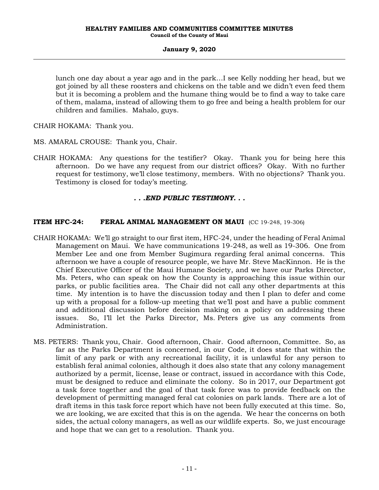lunch one day about a year ago and in the park…I see Kelly nodding her head, but we got joined by all these roosters and chickens on the table and we didn't even feed them but it is becoming a problem and the humane thing would be to find a way to take care of them, malama, instead of allowing them to go free and being a health problem for our children and families. Mahalo, guys.

CHAIR HOKAMA: Thank you.

- MS. AMARAL CROUSE: Thank you, Chair.
- CHAIR HOKAMA: Any questions for the testifier? Okay. Thank you for being here this afternoon. Do we have any request from our district offices? Okay. With no further request for testimony, we'll close testimony, members. With no objections? Thank you. Testimony is closed for today's meeting.

# *. . .END PUBLIC TESTIMONY. . .*

# **ITEM HFC-24: FERAL ANIMAL MANAGEMENT ON MAUI** (CC 19-248, 19-306)

- CHAIR HOKAMA: We'll go straight to our first item, HFC-24, under the heading of Feral Animal Management on Maui. We have communications 19-248, as well as 19-306. One from Member Lee and one from Member Sugimura regarding feral animal concerns. This afternoon we have a couple of resource people, we have Mr. Steve MacKinnon. He is the Chief Executive Officer of the Maui Humane Society, and we have our Parks Director, Ms. Peters, who can speak on how the County is approaching this issue within our parks, or public facilities area. The Chair did not call any other departments at this time. My intention is to have the discussion today and then I plan to defer and come up with a proposal for a follow-up meeting that we'll post and have a public comment and additional discussion before decision making on a policy on addressing these issues. So, I'll let the Parks Director, Ms. Peters give us any comments from Administration.
- MS. PETERS: Thank you, Chair. Good afternoon, Chair. Good afternoon, Committee. So, as far as the Parks Department is concerned, in our Code, it does state that within the limit of any park or with any recreational facility, it is unlawful for any person to establish feral animal colonies, although it does also state that any colony management authorized by a permit, license, lease or contract, issued in accordance with this Code, must be designed to reduce and eliminate the colony. So in 2017, our Department got a task force together and the goal of that task force was to provide feedback on the development of permitting managed feral cat colonies on park lands. There are a lot of draft items in this task force report which have not been fully executed at this time. So, we are looking, we are excited that this is on the agenda. We hear the concerns on both sides, the actual colony managers, as well as our wildlife experts. So, we just encourage and hope that we can get to a resolution. Thank you.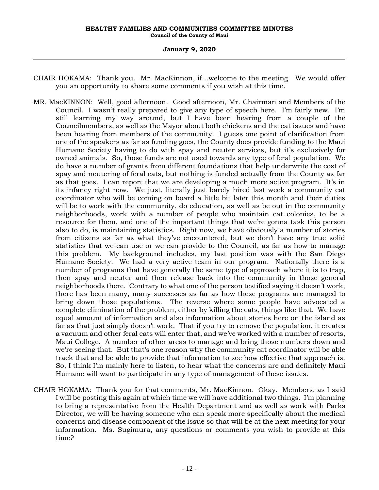- CHAIR HOKAMA: Thank you. Mr. MacKinnon, if…welcome to the meeting. We would offer you an opportunity to share some comments if you wish at this time.
- MR. MacKINNON: Well, good afternoon. Good afternoon, Mr. Chairman and Members of the Council. I wasn't really prepared to give any type of speech here. I'm fairly new. I'm still learning my way around, but I have been hearing from a couple of the Councilmembers, as well as the Mayor about both chickens and the cat issues and have been hearing from members of the community. I guess one point of clarification from one of the speakers as far as funding goes, the County does provide funding to the Maui Humane Society having to do with spay and neuter services, but it's exclusively for owned animals. So, those funds are not used towards any type of feral population. We do have a number of grants from different foundations that help underwrite the cost of spay and neutering of feral cats, but nothing is funded actually from the County as far as that goes. I can report that we are developing a much more active program. It's in its infancy right now. We just, literally just barely hired last week a community cat coordinator who will be coming on board a little bit later this month and their duties will be to work with the community, do education, as well as be out in the community neighborhoods, work with a number of people who maintain cat colonies, to be a resource for them, and one of the important things that we're gonna task this person also to do, is maintaining statistics. Right now, we have obviously a number of stories from citizens as far as what they've encountered, but we don't have any true solid statistics that we can use or we can provide to the Council, as far as how to manage this problem. My background includes, my last position was with the San Diego Humane Society. We had a very active team in our program. Nationally there is a number of programs that have generally the same type of approach where it is to trap, then spay and neuter and then release back into the community in those general neighborhoods there. Contrary to what one of the person testified saying it doesn't work, there has been many, many successes as far as how these programs are managed to bring down those populations. The reverse where some people have advocated a complete elimination of the problem, either by killing the cats, things like that. We have equal amount of information and also information about stories here on the island as far as that just simply doesn't work. That if you try to remove the population, it creates a vacuum and other feral cats will enter that, and we've worked with a number of resorts, Maui College. A number of other areas to manage and bring those numbers down and we're seeing that. But that's one reason why the community cat coordinator will be able track that and be able to provide that information to see how effective that approach is. So, I think I'm mainly here to listen, to hear what the concerns are and definitely Maui Humane will want to participate in any type of management of these issues.
- CHAIR HOKAMA: Thank you for that comments, Mr. MacKinnon. Okay. Members, as I said I will be posting this again at which time we will have additional two things. I'm planning to bring a representative from the Health Department and as well as work with Parks Director, we will be having someone who can speak more specifically about the medical concerns and disease component of the issue so that will be at the next meeting for your information. Ms. Sugimura, any questions or comments you wish to provide at this time?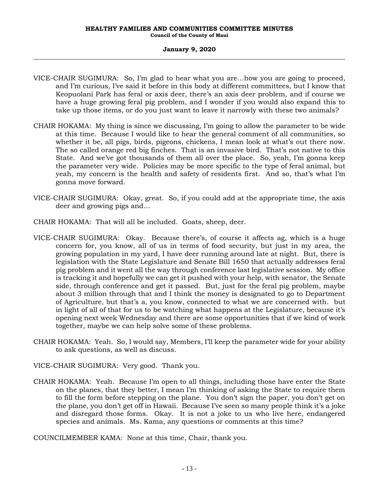- VICE-CHAIR SUGIMURA: So, I'm glad to hear what you are…how you are going to proceed, and I'm curious, I've said it before in this body at different committees, but I know that Keopuolani Park has feral or axis deer, there's an axis deer problem, and if course we have a huge growing feral pig problem, and I wonder if you would also expand this to take up those items, or do you just want to leave it narrowly with these two animals?
- CHAIR HOKAMA: My thing is since we discussing, I'm going to allow the parameter to be wide at this time. Because I would like to hear the general comment of all communities, so whether it be, all pigs, birds, pigeons, chickens, I mean look at what's out there now. The so called orange red big finches. That is an invasive bird. That's not native to this State. And we've got thousands of them all over the place. So, yeah, I'm gonna keep the parameter very wide. Policies may be more specific to the type of feral animal, but yeah, my concern is the health and safety of residents first. And so, that's what I'm gonna move forward.
- VICE-CHAIR SUGIMURA: Okay, great. So, if you could add at the appropriate time, the axis deer and growing pigs and…
- CHAIR HOKAMA: That will all be included. Goats, sheep, deer.
- VICE-CHAIR SUGIMURA: Okay. Because there's, of course it affects ag, which is a huge concern for, you know, all of us in terms of food security, but just in my area, the growing population in my yard, I have deer running around late at night. But, there is legislation with the State Legislature and Senate Bill 1650 that actually addresses feral pig problem and it went all the way through conference last legislative session. My office is tracking it and hopefully we can get it pushed with your help, with senator, the Senate side, through conference and get it passed. But, just for the feral pig problem, maybe about 3 million through that and I think the money is designated to go to Department of Agriculture, but that's a, you know, connected to what we are concerned with. but in light of all of that for us to be watching what happens at the Legislature, because it's opening next week Wednesday and there are some opportunities that if we kind of work together, maybe we can help solve some of these problems.
- CHAIR HOKAMA: Yeah. So, I would say, Members, I'll keep the parameter wide for your ability to ask questions, as well as discuss.
- VICE-CHAIR SUGIMURA: Very good. Thank you.
- CHAIR HOKAMA: Yeah. Because I'm open to all things, including those have enter the State on the planes, that they better, I mean I'm thinking of asking the State to require them to fill the form before stepping on the plane. You don't sign the paper, you don't get on the plane, you don't get off in Hawaii. Because I've seen so many people think it's a joke and disregard those forms. Okay. It is not a joke to us who live here, endangered species and animals. Ms. Kama, any questions or comments at this time?

COUNCILMEMBER KAMA: None at this time, Chair, thank you.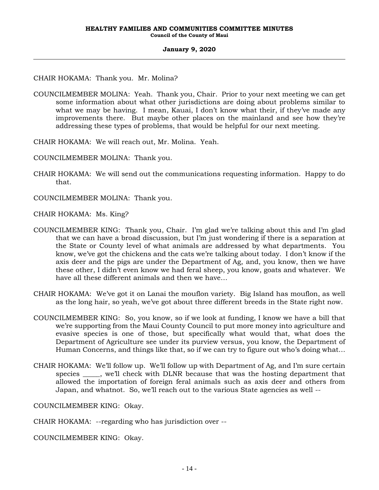# CHAIR HOKAMA: Thank you. Mr. Molina?

- COUNCILMEMBER MOLINA: Yeah. Thank you, Chair. Prior to your next meeting we can get some information about what other jurisdictions are doing about problems similar to what we may be having. I mean, Kauai, I don't know what their, if they've made any improvements there. But maybe other places on the mainland and see how they're addressing these types of problems, that would be helpful for our next meeting.
- CHAIR HOKAMA: We will reach out, Mr. Molina. Yeah.
- COUNCILMEMBER MOLINA: Thank you.
- CHAIR HOKAMA: We will send out the communications requesting information. Happy to do that.
- COUNCILMEMBER MOLINA: Thank you.
- CHAIR HOKAMA: Ms. King?
- COUNCILMEMBER KING: Thank you, Chair. I'm glad we're talking about this and I'm glad that we can have a broad discussion, but I'm just wondering if there is a separation at the State or County level of what animals are addressed by what departments. You know, we've got the chickens and the cats we're talking about today. I don't know if the axis deer and the pigs are under the Department of Ag, and, you know, then we have these other, I didn't even know we had feral sheep, you know, goats and whatever. We have all these different animals and then we have…
- CHAIR HOKAMA: We've got it on Lanai the mouflon variety. Big Island has mouflon, as well as the long hair, so yeah, we've got about three different breeds in the State right now.
- COUNCILMEMBER KING: So, you know, so if we look at funding, I know we have a bill that we're supporting from the Maui County Council to put more money into agriculture and evasive species is one of those, but specifically what would that, what does the Department of Agriculture see under its purview versus, you know, the Department of Human Concerns, and things like that, so if we can try to figure out who's doing what…
- CHAIR HOKAMA: We'll follow up. We'll follow up with Department of Ag, and I'm sure certain species \_\_\_\_\_, we'll check with DLNR because that was the hosting department that allowed the importation of foreign feral animals such as axis deer and others from Japan, and whatnot. So, we'll reach out to the various State agencies as well --

COUNCILMEMBER KING: Okay.

CHAIR HOKAMA: --regarding who has jurisdiction over --

COUNCILMEMBER KING: Okay.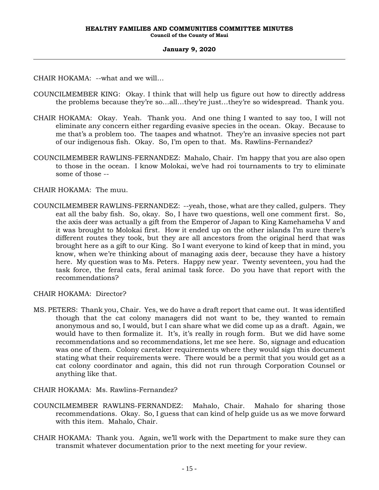CHAIR HOKAMA: --what and we will…

- COUNCILMEMBER KING: Okay. I think that will help us figure out how to directly address the problems because they're so…all…they're just…they're so widespread. Thank you.
- CHAIR HOKAMA: Okay. Yeah. Thank you. And one thing I wanted to say too, I will not eliminate any concern either regarding evasive species in the ocean. Okay. Because to me that's a problem too. The taapes and whatnot. They're an invasive species not part of our indigenous fish. Okay. So, I'm open to that. Ms. Rawlins-Fernandez?
- COUNCILMEMBER RAWLINS-FERNANDEZ: Mahalo, Chair. I'm happy that you are also open to those in the ocean. I know Molokai, we've had roi tournaments to try to eliminate some of those --

CHAIR HOKAMA: The muu.

COUNCILMEMBER RAWLINS-FERNANDEZ: --yeah, those, what are they called, gulpers. They eat all the baby fish. So, okay. So, I have two questions, well one comment first. So, the axis deer was actually a gift from the Emperor of Japan to King Kamehameha V and it was brought to Molokai first. How it ended up on the other islands I'm sure there's different routes they took, but they are all ancestors from the original herd that was brought here as a gift to our King. So I want everyone to kind of keep that in mind, you know, when we're thinking about of managing axis deer, because they have a history here. My question was to Ms. Peters. Happy new year. Twenty seventeen, you had the task force, the feral cats, feral animal task force. Do you have that report with the recommendations?

CHAIR HOKAMA: Director?

MS. PETERS: Thank you, Chair. Yes, we do have a draft report that came out. It was identified though that the cat colony managers did not want to be, they wanted to remain anonymous and so, I would, but I can share what we did come up as a draft. Again, we would have to then formalize it. It's, it's really in rough form. But we did have some recommendations and so recommendations, let me see here. So, signage and education was one of them. Colony caretaker requirements where they would sign this document stating what their requirements were. There would be a permit that you would get as a cat colony coordinator and again, this did not run through Corporation Counsel or anything like that.

CHAIR HOKAMA: Ms. Rawlins-Fernandez?

- COUNCILMEMBER RAWLINS-FERNANDEZ: Mahalo, Chair. Mahalo for sharing those recommendations. Okay. So, I guess that can kind of help guide us as we move forward with this item. Mahalo, Chair.
- CHAIR HOKAMA: Thank you. Again, we'll work with the Department to make sure they can transmit whatever documentation prior to the next meeting for your review.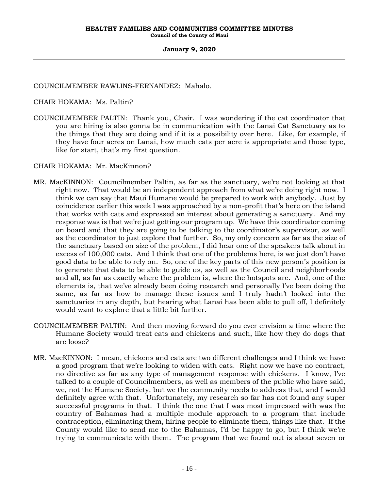COUNCILMEMBER RAWLINS-FERNANDEZ: Mahalo.

CHAIR HOKAMA: Ms. Paltin?

COUNCILMEMBER PALTIN: Thank you, Chair. I was wondering if the cat coordinator that you are hiring is also gonna be in communication with the Lanai Cat Sanctuary as to the things that they are doing and if it is a possibility over here. Like, for example, if they have four acres on Lanai, how much cats per acre is appropriate and those type, like for start, that's my first question.

# CHAIR HOKAMA: Mr. MacKinnon?

- MR. MacKINNON: Councilmember Paltin, as far as the sanctuary, we're not looking at that right now. That would be an independent approach from what we're doing right now. I think we can say that Maui Humane would be prepared to work with anybody. Just by coincidence earlier this week I was approached by a non-profit that's here on the island that works with cats and expressed an interest about generating a sanctuary. And my response was is that we're just getting our program up. We have this coordinator coming on board and that they are going to be talking to the coordinator's supervisor, as well as the coordinator to just explore that further. So, my only concern as far as the size of the sanctuary based on size of the problem, I did hear one of the speakers talk about in excess of 100,000 cats. And I think that one of the problems here, is we just don't have good data to be able to rely on. So, one of the key parts of this new person's position is to generate that data to be able to guide us, as well as the Council and neighborhoods and all, as far as exactly where the problem is, where the hotspots are. And, one of the elements is, that we've already been doing research and personally I've been doing the same, as far as how to manage these issues and I truly hadn't looked into the sanctuaries in any depth, but hearing what Lanai has been able to pull off, I definitely would want to explore that a little bit further.
- COUNCILMEMBER PALTIN: And then moving forward do you ever envision a time where the Humane Society would treat cats and chickens and such, like how they do dogs that are loose?
- MR. MacKINNON: I mean, chickens and cats are two different challenges and I think we have a good program that we're looking to widen with cats. Right now we have no contract, no directive as far as any type of management response with chickens. I know, I've talked to a couple of Councilmembers, as well as members of the public who have said, we, not the Humane Society, but we the community needs to address that, and I would definitely agree with that. Unfortunately, my research so far has not found any super successful programs in that. I think the one that I was most impressed with was the country of Bahamas had a multiple module approach to a program that include contraception, eliminating them, hiring people to eliminate them, things like that. If the County would like to send me to the Bahamas, I'd be happy to go, but I think we're trying to communicate with them. The program that we found out is about seven or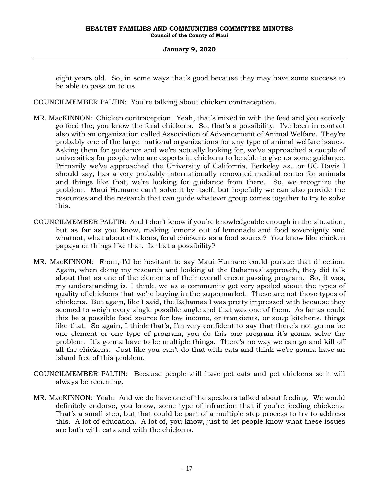eight years old. So, in some ways that's good because they may have some success to be able to pass on to us.

COUNCILMEMBER PALTIN: You're talking about chicken contraception.

- MR. MacKINNON: Chicken contraception. Yeah, that's mixed in with the feed and you actively go feed the, you know the feral chickens. So, that's a possibility. I've been in contact also with an organization called Association of Advancement of Animal Welfare. They're probably one of the larger national organizations for any type of animal welfare issues. Asking them for guidance and we're actually looking for, we've approached a couple of universities for people who are experts in chickens to be able to give us some guidance. Primarily we've approached the University of California, Berkeley as…or UC Davis I should say, has a very probably internationally renowned medical center for animals and things like that, we're looking for guidance from there. So, we recognize the problem. Maui Humane can't solve it by itself, but hopefully we can also provide the resources and the research that can guide whatever group comes together to try to solve this.
- COUNCILMEMBER PALTIN: And I don't know if you're knowledgeable enough in the situation, but as far as you know, making lemons out of lemonade and food sovereignty and whatnot, what about chickens, feral chickens as a food source? You know like chicken papaya or things like that. Is that a possibility?
- MR. MacKINNON: From, I'd be hesitant to say Maui Humane could pursue that direction. Again, when doing my research and looking at the Bahamas' approach, they did talk about that as one of the elements of their overall encompassing program. So, it was, my understanding is, I think, we as a community get very spoiled about the types of quality of chickens that we're buying in the supermarket. These are not those types of chickens. But again, like I said, the Bahamas I was pretty impressed with because they seemed to weigh every single possible angle and that was one of them. As far as could this be a possible food source for low income, or transients, or soup kitchens, things like that. So again, I think that's, I'm very confident to say that there's not gonna be one element or one type of program, you do this one program it's gonna solve the problem. It's gonna have to be multiple things. There's no way we can go and kill off all the chickens. Just like you can't do that with cats and think we're gonna have an island free of this problem.
- COUNCILMEMBER PALTIN: Because people still have pet cats and pet chickens so it will always be recurring.
- MR. MacKINNON: Yeah. And we do have one of the speakers talked about feeding. We would definitely endorse, you know, some type of infraction that if you're feeding chickens. That's a small step, but that could be part of a multiple step process to try to address this. A lot of education. A lot of, you know, just to let people know what these issues are both with cats and with the chickens.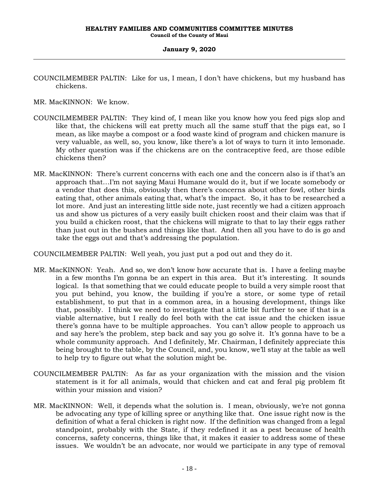COUNCILMEMBER PALTIN: Like for us, I mean, I don't have chickens, but my husband has chickens.

MR. MacKINNON: We know.

- COUNCILMEMBER PALTIN: They kind of, I mean like you know how you feed pigs slop and like that, the chickens will eat pretty much all the same stuff that the pigs eat, so I mean, as like maybe a compost or a food waste kind of program and chicken manure is very valuable, as well, so, you know, like there's a lot of ways to turn it into lemonade. My other question was if the chickens are on the contraceptive feed, are those edible chickens then?
- MR. MacKINNON: There's current concerns with each one and the concern also is if that's an approach that…I'm not saying Maui Humane would do it, but if we locate somebody or a vendor that does this, obviously then there's concerns about other fowl, other birds eating that, other animals eating that, what's the impact. So, it has to be researched a lot more. And just an interesting little side note, just recently we had a citizen approach us and show us pictures of a very easily built chicken roost and their claim was that if you build a chicken roost, that the chickens will migrate to that to lay their eggs rather than just out in the bushes and things like that. And then all you have to do is go and take the eggs out and that's addressing the population.

COUNCILMEMBER PALTIN: Well yeah, you just put a pod out and they do it.

- MR. MacKINNON: Yeah. And so, we don't know how accurate that is. I have a feeling maybe in a few months I'm gonna be an expert in this area. But it's interesting. It sounds logical. Is that something that we could educate people to build a very simple roost that you put behind, you know, the building if you're a store, or some type of retail establishment, to put that in a common area, in a housing development, things like that, possibly. I think we need to investigate that a little bit further to see if that is a viable alternative, but I really do feel both with the cat issue and the chicken issue there's gonna have to be multiple approaches. You can't allow people to approach us and say here's the problem, step back and say you go solve it. It's gonna have to be a whole community approach. And I definitely, Mr. Chairman, I definitely appreciate this being brought to the table, by the Council, and, you know, we'll stay at the table as well to help try to figure out what the solution might be.
- COUNCILMEMBER PALTIN: As far as your organization with the mission and the vision statement is it for all animals, would that chicken and cat and feral pig problem fit within your mission and vision?
- MR. MacKINNON: Well, it depends what the solution is. I mean, obviously, we're not gonna be advocating any type of killing spree or anything like that. One issue right now is the definition of what a feral chicken is right now. If the definition was changed from a legal standpoint, probably with the State, if they redefined it as a pest because of health concerns, safety concerns, things like that, it makes it easier to address some of these issues. We wouldn't be an advocate, nor would we participate in any type of removal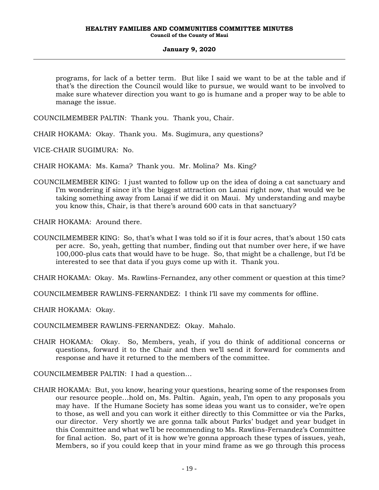programs, for lack of a better term. But like I said we want to be at the table and if that's the direction the Council would like to pursue, we would want to be involved to make sure whatever direction you want to go is humane and a proper way to be able to manage the issue.

COUNCILMEMBER PALTIN: Thank you. Thank you, Chair.

CHAIR HOKAMA: Okay. Thank you. Ms. Sugimura, any questions?

VICE-CHAIR SUGIMURA: No.

CHAIR HOKAMA: Ms. Kama? Thank you. Mr. Molina? Ms. King?

COUNCILMEMBER KING: I just wanted to follow up on the idea of doing a cat sanctuary and I'm wondering if since it's the biggest attraction on Lanai right now, that would we be taking something away from Lanai if we did it on Maui. My understanding and maybe you know this, Chair, is that there's around 600 cats in that sanctuary?

CHAIR HOKAMA: Around there.

COUNCILMEMBER KING: So, that's what I was told so if it is four acres, that's about 150 cats per acre. So, yeah, getting that number, finding out that number over here, if we have 100,000-plus cats that would have to be huge. So, that might be a challenge, but I'd be interested to see that data if you guys come up with it. Thank you.

CHAIR HOKAMA: Okay. Ms. Rawlins-Fernandez, any other comment or question at this time?

COUNCILMEMBER RAWLINS-FERNANDEZ: I think I'll save my comments for offline.

CHAIR HOKAMA: Okay.

COUNCILMEMBER RAWLINS-FERNANDEZ: Okay. Mahalo.

- CHAIR HOKAMA: Okay. So, Members, yeah, if you do think of additional concerns or questions, forward it to the Chair and then we'll send it forward for comments and response and have it returned to the members of the committee.
- COUNCILMEMBER PALTIN: I had a question…
- CHAIR HOKAMA: But, you know, hearing your questions, hearing some of the responses from our resource people…hold on, Ms. Paltin. Again, yeah, I'm open to any proposals you may have. If the Humane Society has some ideas you want us to consider, we're open to those, as well and you can work it either directly to this Committee or via the Parks, our director. Very shortly we are gonna talk about Parks' budget and year budget in this Committee and what we'll be recommending to Ms. Rawlins-Fernandez's Committee for final action. So, part of it is how we're gonna approach these types of issues, yeah, Members, so if you could keep that in your mind frame as we go through this process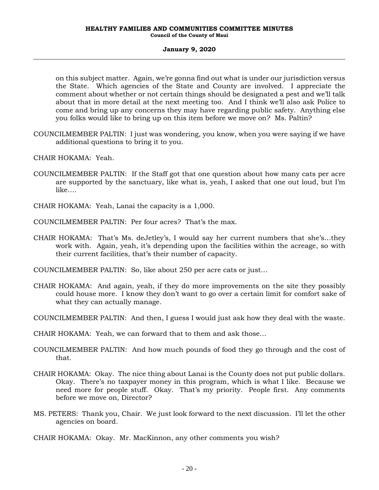on this subject matter. Again, we're gonna find out what is under our jurisdiction versus the State. Which agencies of the State and County are involved. I appreciate the comment about whether or not certain things should be designated a pest and we'll talk about that in more detail at the next meeting too. And I think we'll also ask Police to come and bring up any concerns they may have regarding public safety. Anything else you folks would like to bring up on this item before we move on? Ms. Paltin?

COUNCILMEMBER PALTIN: I just was wondering, you know, when you were saying if we have additional questions to bring it to you.

CHAIR HOKAMA: Yeah.

- COUNCILMEMBER PALTIN: If the Staff got that one question about how many cats per acre are supported by the sanctuary, like what is, yeah, I asked that one out loud, but I'm like….
- CHAIR HOKAMA: Yeah, Lanai the capacity is a 1,000.
- COUNCILMEMBER PALTIN: Per four acres? That's the max.
- CHAIR HOKAMA: That's Ms. deJetley's, I would say her current numbers that she's…they work with. Again, yeah, it's depending upon the facilities within the acreage, so with their current facilities, that's their number of capacity.
- COUNCILMEMBER PALTIN: So, like about 250 per acre cats or just…
- CHAIR HOKAMA: And again, yeah, if they do more improvements on the site they possibly could house more. I know they don't want to go over a certain limit for comfort sake of what they can actually manage.
- COUNCILMEMBER PALTIN: And then, I guess I would just ask how they deal with the waste.
- CHAIR HOKAMA: Yeah, we can forward that to them and ask those…
- COUNCILMEMBER PALTIN: And how much pounds of food they go through and the cost of that.
- CHAIR HOKAMA: Okay. The nice thing about Lanai is the County does not put public dollars. Okay. There's no taxpayer money in this program, which is what I like. Because we need more for people stuff. Okay. That's my priority. People first. Any comments before we move on, Director?
- MS. PETERS: Thank you, Chair. We just look forward to the next discussion. I'll let the other agencies on board.
- CHAIR HOKAMA: Okay. Mr. MacKinnon, any other comments you wish?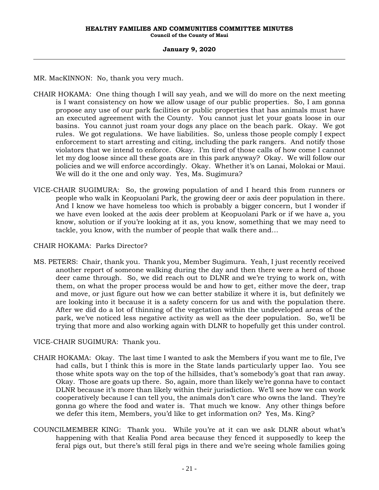MR. MacKINNON: No, thank you very much.

- CHAIR HOKAMA: One thing though I will say yeah, and we will do more on the next meeting is I want consistency on how we allow usage of our public properties. So, I am gonna propose any use of our park facilities or public properties that has animals must have an executed agreement with the County. You cannot just let your goats loose in our basins. You cannot just roam your dogs any place on the beach park. Okay. We got rules. We got regulations. We have liabilities. So, unless those people comply I expect enforcement to start arresting and citing, including the park rangers. And notify those violators that we intend to enforce. Okay. I'm tired of those calls of how come I cannot let my dog loose since all these goats are in this park anyway? Okay. We will follow our policies and we will enforce accordingly. Okay. Whether it's on Lanai, Molokai or Maui. We will do it the one and only way. Yes, Ms. Sugimura?
- VICE-CHAIR SUGIMURA: So, the growing population of and I heard this from runners or people who walk in Keopuolani Park, the growing deer or axis deer population in there. And I know we have homeless too which is probably a bigger concern, but I wonder if we have even looked at the axis deer problem at Keopuolani Park or if we have a, you know, solution or if you're looking at it as, you know, something that we may need to tackle, you know, with the number of people that walk there and…

# CHAIR HOKAMA: Parks Director?

MS. PETERS: Chair, thank you. Thank you, Member Sugimura. Yeah, I just recently received another report of someone walking during the day and then there were a herd of those deer came through. So, we did reach out to DLNR and we're trying to work on, with them, on what the proper process would be and how to get, either move the deer, trap and move, or just figure out how we can better stabilize it where it is, but definitely we are looking into it because it is a safety concern for us and with the population there. After we did do a lot of thinning of the vegetation within the undeveloped areas of the park, we've noticed less negative activity as well as the deer population. So, we'll be trying that more and also working again with DLNR to hopefully get this under control.

# VICE-CHAIR SUGIMURA: Thank you.

- CHAIR HOKAMA: Okay. The last time I wanted to ask the Members if you want me to file, I've had calls, but I think this is more in the State lands particularly upper Iao. You see those white spots way on the top of the hillsides, that's somebody's goat that ran away. Okay. Those are goats up there. So, again, more than likely we're gonna have to contact DLNR because it's more than likely within their jurisdiction. We'll see how we can work cooperatively because I can tell you, the animals don't care who owns the land. They're gonna go where the food and water is. That much we know. Any other things before we defer this item, Members, you'd like to get information on? Yes, Ms. King?
- COUNCILMEMBER KING: Thank you. While you're at it can we ask DLNR about what's happening with that Kealia Pond area because they fenced it supposedly to keep the feral pigs out, but there's still feral pigs in there and we're seeing whole families going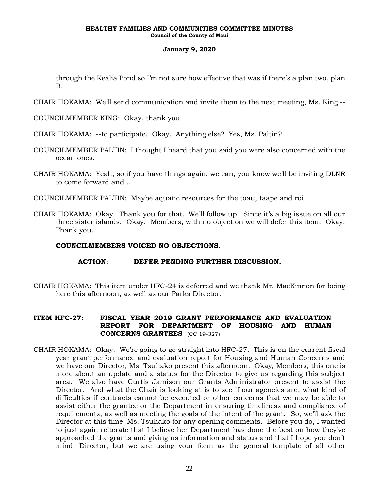through the Kealia Pond so I'm not sure how effective that was if there's a plan two, plan B.

CHAIR HOKAMA: We'll send communication and invite them to the next meeting, Ms. King --

COUNCILMEMBER KING: Okay, thank you.

CHAIR HOKAMA: --to participate. Okay. Anything else? Yes, Ms. Paltin?

- COUNCILMEMBER PALTIN: I thought I heard that you said you were also concerned with the ocean ones.
- CHAIR HOKAMA: Yeah, so if you have things again, we can, you know we'll be inviting DLNR to come forward and…
- COUNCILMEMBER PALTIN: Maybe aquatic resources for the toau, taape and roi.
- CHAIR HOKAMA: Okay. Thank you for that. We'll follow up. Since it's a big issue on all our three sister islands. Okay. Members, with no objection we will defer this item. Okay. Thank you.

# **COUNCILMEMBERS VOICED NO OBJECTIONS.**

# **ACTION: DEFER PENDING FURTHER DISCUSSION.**

CHAIR HOKAMA: This item under HFC-24 is deferred and we thank Mr. MacKinnon for being here this afternoon, as well as our Parks Director.

# **ITEM HFC-27: FISCAL YEAR 2019 GRANT PERFORMANCE AND EVALUATION REPORT FOR DEPARTMENT OF HOUSING AND HUMAN CONCERNS GRANTEES** (CC 19-327)

CHAIR HOKAMA: Okay. We're going to go straight into HFC-27. This is on the current fiscal year grant performance and evaluation report for Housing and Human Concerns and we have our Director, Ms. Tsuhako present this afternoon. Okay, Members, this one is more about an update and a status for the Director to give us regarding this subject area. We also have Curtis Jamison our Grants Administrator present to assist the Director. And what the Chair is looking at is to see if our agencies are, what kind of difficulties if contracts cannot be executed or other concerns that we may be able to assist either the grantee or the Department in ensuring timeliness and compliance of requirements, as well as meeting the goals of the intent of the grant. So, we'll ask the Director at this time, Ms. Tsuhako for any opening comments. Before you do, I wanted to just again reiterate that I believe her Department has done the best on how they've approached the grants and giving us information and status and that I hope you don't mind, Director, but we are using your form as the general template of all other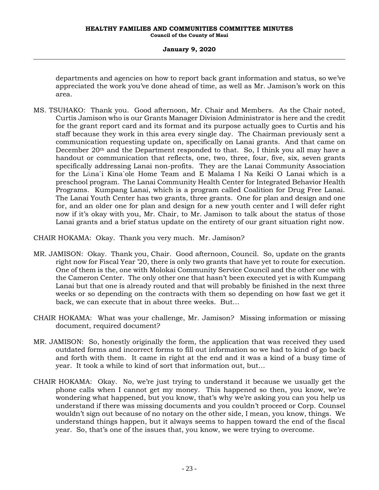departments and agencies on how to report back grant information and status, so we've appreciated the work you've done ahead of time, as well as Mr. Jamison's work on this area.

MS. TSUHAKO: Thank you. Good afternoon, Mr. Chair and Members. As the Chair noted, Curtis Jamison who is our Grants Manager Division Administrator is here and the credit for the grant report card and its format and its purpose actually goes to Curtis and his staff because they work in this area every single day. The Chairman previously sent a communication requesting update on, specifically on Lanai grants. And that came on December  $20<sup>th</sup>$  and the Department responded to that. So, I think you all may have a handout or communication that reflects, one, two, three, four, five, six, seven grants specifically addressing Lanai non-profits. They are the Lanai Community Association for the Lāna`i Kina`ole Home Team and E Malama I Na Keiki O Lanai which is a preschool program. The Lanai Community Health Center for Integrated Behavior Health Programs. Kumpang Lanai, which is a program called Coalition for Drug Free Lanai. The Lanai Youth Center has two grants, three grants. One for plan and design and one for, and an older one for plan and design for a new youth center and I will defer right now if it's okay with you, Mr. Chair, to Mr. Jamison to talk about the status of those Lanai grants and a brief status update on the entirety of our grant situation right now.

CHAIR HOKAMA: Okay. Thank you very much. Mr. Jamison?

- MR. JAMISON: Okay. Thank you, Chair. Good afternoon, Council. So, update on the grants right now for Fiscal Year '20, there is only two grants that have yet to route for execution. One of them is the, one with Molokai Community Service Council and the other one with the Cameron Center. The only other one that hasn't been executed yet is with Kumpang Lanai but that one is already routed and that will probably be finished in the next three weeks or so depending on the contracts with them so depending on how fast we get it back, we can execute that in about three weeks. But…
- CHAIR HOKAMA: What was your challenge, Mr. Jamison? Missing information or missing document, required document?
- MR. JAMISON: So, honestly originally the form, the application that was received they used outdated forms and incorrect forms to fill out information so we had to kind of go back and forth with them. It came in right at the end and it was a kind of a busy time of year. It took a while to kind of sort that information out, but…
- CHAIR HOKAMA: Okay. No, we're just trying to understand it because we usually get the phone calls when I cannot get my money. This happened so then, you know, we're wondering what happened, but you know, that's why we're asking you can you help us understand if there was missing documents and you couldn't proceed or Corp. Counsel wouldn't sign out because of no notary on the other side, I mean, you know, things. We understand things happen, but it always seems to happen toward the end of the fiscal year. So, that's one of the issues that, you know, we were trying to overcome.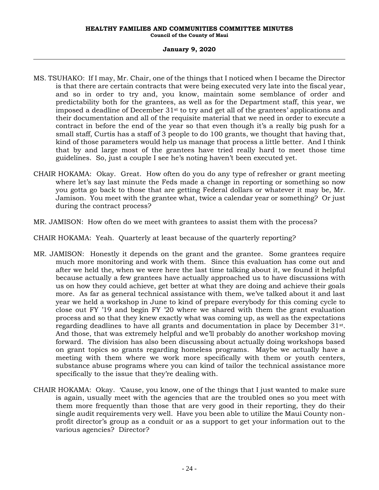#### **HEALTHY FAMILIES AND COMMUNITIES COMMITTEE MINUTES Council of the County of Maui**

# **January 9, 2020**

- MS. TSUHAKO: If I may, Mr. Chair, one of the things that I noticed when I became the Director is that there are certain contracts that were being executed very late into the fiscal year, and so in order to try and, you know, maintain some semblance of order and predictability both for the grantees, as well as for the Department staff, this year, we imposed a deadline of December 31st to try and get all of the grantees' applications and their documentation and all of the requisite material that we need in order to execute a contract in before the end of the year so that even though it's a really big push for a small staff, Curtis has a staff of 3 people to do 100 grants, we thought that having that, kind of those parameters would help us manage that process a little better. And I think that by and large most of the grantees have tried really hard to meet those time guidelines. So, just a couple I see he's noting haven't been executed yet.
- CHAIR HOKAMA: Okay. Great. How often do you do any type of refresher or grant meeting where let's say last minute the Feds made a change in reporting or something so now you gotta go back to those that are getting Federal dollars or whatever it may be, Mr. Jamison. You meet with the grantee what, twice a calendar year or something? Or just during the contract process?
- MR. JAMISON: How often do we meet with grantees to assist them with the process?
- CHAIR HOKAMA: Yeah. Quarterly at least because of the quarterly reporting?
- MR. JAMISON: Honestly it depends on the grant and the grantee. Some grantees require much more monitoring and work with them. Since this evaluation has come out and after we held the, when we were here the last time talking about it, we found it helpful because actually a few grantees have actually approached us to have discussions with us on how they could achieve, get better at what they are doing and achieve their goals more. As far as general technical assistance with them, we've talked about it and last year we held a workshop in June to kind of prepare everybody for this coming cycle to close out FY '19 and begin FY '20 where we shared with them the grant evaluation process and so that they knew exactly what was coming up, as well as the expectations regarding deadlines to have all grants and documentation in place by December 31st. And those, that was extremely helpful and we'll probably do another workshop moving forward. The division has also been discussing about actually doing workshops based on grant topics so grants regarding homeless programs. Maybe we actually have a meeting with them where we work more specifically with them or youth centers, substance abuse programs where you can kind of tailor the technical assistance more specifically to the issue that they're dealing with.
- CHAIR HOKAMA: Okay. 'Cause, you know, one of the things that I just wanted to make sure is again, usually meet with the agencies that are the troubled ones so you meet with them more frequently than those that are very good in their reporting, they do their single audit requirements very well. Have you been able to utilize the Maui County nonprofit director's group as a conduit or as a support to get your information out to the various agencies? Director?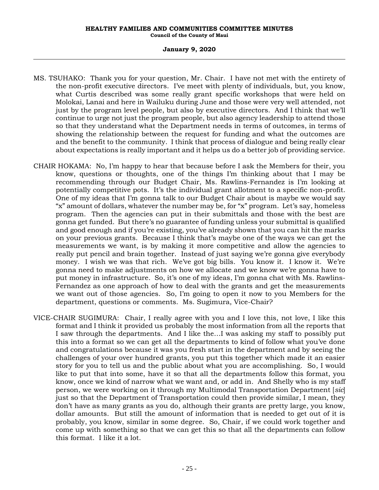- MS. TSUHAKO: Thank you for your question, Mr. Chair. I have not met with the entirety of the non-profit executive directors. I've meet with plenty of individuals, but, you know, what Curtis described was some really grant specific workshops that were held on Molokai, Lanai and here in Wailuku during June and those were very well attended, not just by the program level people, but also by executive directors. And I think that we'll continue to urge not just the program people, but also agency leadership to attend those so that they understand what the Department needs in terms of outcomes, in terms of showing the relationship between the request for funding and what the outcomes are and the benefit to the community. I think that process of dialogue and being really clear about expectations is really important and it helps us do a better job of providing service.
- CHAIR HOKAMA: No, I'm happy to hear that because before I ask the Members for their, you know, questions or thoughts, one of the things I'm thinking about that I may be recommending through our Budget Chair, Ms. Rawlins-Fernandez is I'm looking at potentially competitive pots. It's the individual grant allotment to a specific non-profit. One of my ideas that I'm gonna talk to our Budget Chair about is maybe we would say "x" amount of dollars, whatever the number may be, for "x" program. Let's say, homeless program. Then the agencies can put in their submittals and those with the best are gonna get funded. But there's no guarantee of funding unless your submittal is qualified and good enough and if you're existing, you've already shown that you can hit the marks on your previous grants. Because I think that's maybe one of the ways we can get the measurements we want, is by making it more competitive and allow the agencies to really put pencil and brain together. Instead of just saying we're gonna give everybody money. I wish we was that rich. We've got big bills. You know it. I know it. We're gonna need to make adjustments on how we allocate and we know we're gonna have to put money in infrastructure. So, it's one of my ideas, I'm gonna chat with Ms. Rawlins-Fernandez as one approach of how to deal with the grants and get the measurements we want out of those agencies. So, I'm going to open it now to you Members for the department, questions or comments. Ms. Sugimura, Vice-Chair?
- VICE-CHAIR SUGIMURA: Chair, I really agree with you and I love this, not love, I like this format and I think it provided us probably the most information from all the reports that I saw through the departments. And I like the…I was asking my staff to possibly put this into a format so we can get all the departments to kind of follow what you've done and congratulations because it was you fresh start in the department and by seeing the challenges of your over hundred grants, you put this together which made it an easier story for you to tell us and the public about what you are accomplishing. So, I would like to put that into some, have it so that all the departments follow this format, you know, once we kind of narrow what we want and, or add in. And Shelly who is my staff person, we were working on it through my Multimodal Transportation Department [*sic*] just so that the Department of Transportation could then provide similar, I mean, they don't have as many grants as you do, although their grants are pretty large, you know, dollar amounts. But still the amount of information that is needed to get out of it is probably, you know, similar in some degree. So, Chair, if we could work together and come up with something so that we can get this so that all the departments can follow this format. I like it a lot.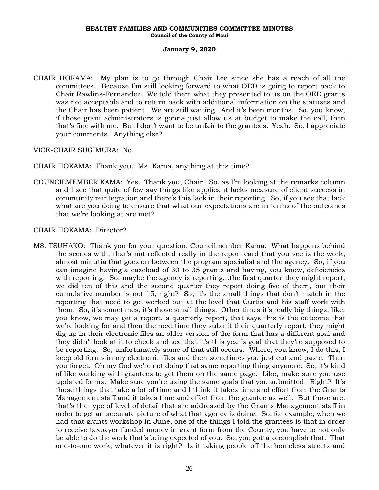CHAIR HOKAMA: My plan is to go through Chair Lee since she has a reach of all the committees. Because I'm still looking forward to what OED is going to report back to Chair Rawlins-Fernandez. We told them what they presented to us on the OED grants was not acceptable and to return back with additional information on the statuses and the Chair has been patient. We are still waiting. And it's been months. So, you know, if those grant administrators is gonna just allow us at budget to make the call, then that's fine with me. But I don't want to be unfair to the grantees. Yeah. So, I appreciate your comments. Anything else?

VICE-CHAIR SUGIMURA: No.

CHAIR HOKAMA: Thank you. Ms. Kama, anything at this time?

COUNCILMEMBER KAMA: Yes. Thank you, Chair. So, as I'm looking at the remarks column and I see that quite of few say things like applicant lacks measure of client success in community reintegration and there's this lack in their reporting. So, if you see that lack what are you doing to ensure that what our expectations are in terms of the outcomes that we're looking at are met?

CHAIR HOKAMA: Director?

MS. TSUHAKO: Thank you for your question, Councilmember Kama. What happens behind the scenes with, that's not reflected really in the report card that you see is the work, almost minutia that goes on between the program specialist and the agency. So, if you can imagine having a caseload of 30 to 35 grants and having, you know, deficiencies with reporting. So, maybe the agency is reporting…the first quarter they might report, we did ten of this and the second quarter they report doing five of them, but their cumulative number is not 15, right? So, it's the small things that don't match in the reporting that need to get worked out at the level that Curtis and his staff work with them. So, it's sometimes, it's those small things. Other times it's really big things, like, you know, we may get a report, a quarterly report, that says this is the outcome that we're looking for and then the next time they submit their quarterly report, they might dig up in their electronic files an older version of the form that has a different goal and they didn't look at it to check and see that it's this year's goal that they're supposed to be reporting. So, unfortunately some of that still occurs. Where, you know, I do this, I keep old forms in my electronic files and then sometimes you just cut and paste. Then you forget. Oh my God we're not doing that same reporting thing anymore. So, it's kind of like working with grantees to get them on the same page. Like, make sure you use updated forms. Make sure you're using the same goals that you submitted. Right? It's those things that take a lot of time and I think it takes time and effort from the Grants Management staff and it takes time and effort from the grantee as well. But those are, that's the type of level of detail that are addressed by the Grants Management staff in order to get an accurate picture of what that agency is doing. So, for example, when we had that grants workshop in June, one of the things I told the grantees is that in order to receive taxpayer funded money in grant form from the County, you have to not only be able to do the work that's being expected of you. So, you gotta accomplish that. That one-to-one work, whatever it is right? Is it taking people off the homeless streets and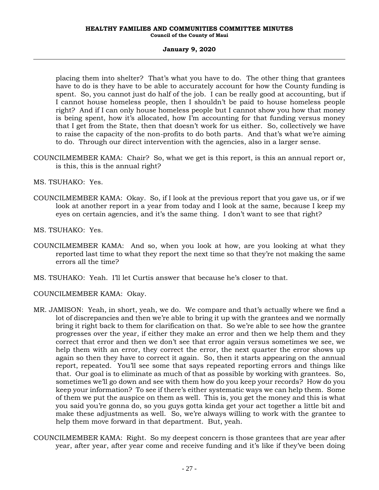placing them into shelter? That's what you have to do. The other thing that grantees have to do is they have to be able to accurately account for how the County funding is spent. So, you cannot just do half of the job. I can be really good at accounting, but if I cannot house homeless people, then I shouldn't be paid to house homeless people right? And if I can only house homeless people but I cannot show you how that money is being spent, how it's allocated, how I'm accounting for that funding versus money that I get from the State, then that doesn't work for us either. So, collectively we have to raise the capacity of the non-profits to do both parts. And that's what we're aiming to do. Through our direct intervention with the agencies, also in a larger sense.

- COUNCILMEMBER KAMA: Chair? So, what we get is this report, is this an annual report or, is this, this is the annual right?
- MS. TSUHAKO: Yes.
- COUNCILMEMBER KAMA: Okay. So, if I look at the previous report that you gave us, or if we look at another report in a year from today and I look at the same, because I keep my eyes on certain agencies, and it's the same thing. I don't want to see that right?
- MS. TSUHAKO: Yes.
- COUNCILMEMBER KAMA: And so, when you look at how, are you looking at what they reported last time to what they report the next time so that they're not making the same errors all the time?
- MS. TSUHAKO: Yeah. I'll let Curtis answer that because he's closer to that.
- COUNCILMEMBER KAMA: Okay.
- MR. JAMISON: Yeah, in short, yeah, we do. We compare and that's actually where we find a lot of discrepancies and then we're able to bring it up with the grantees and we normally bring it right back to them for clarification on that. So we're able to see how the grantee progresses over the year, if either they make an error and then we help them and they correct that error and then we don't see that error again versus sometimes we see, we help them with an error, they correct the error, the next quarter the error shows up again so then they have to correct it again. So, then it starts appearing on the annual report, repeated. You'll see some that says repeated reporting errors and things like that. Our goal is to eliminate as much of that as possible by working with grantees. So, sometimes we'll go down and see with them how do you keep your records? How do you keep your information? To see if there's either systematic ways we can help them. Some of them we put the auspice on them as well. This is, you get the money and this is what you said you're gonna do, so you guys gotta kinda get your act together a little bit and make these adjustments as well. So, we're always willing to work with the grantee to help them move forward in that department. But, yeah.
- COUNCILMEMBER KAMA: Right. So my deepest concern is those grantees that are year after year, after year, after year come and receive funding and it's like if they've been doing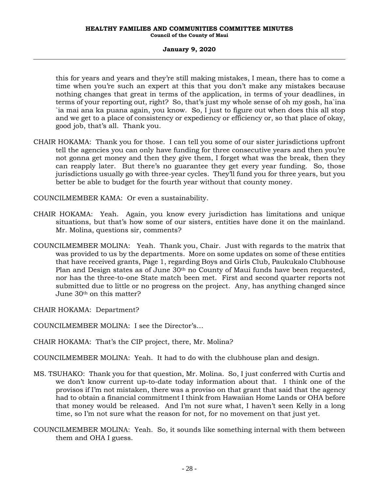this for years and years and they're still making mistakes, I mean, there has to come a time when you're such an expert at this that you don't make any mistakes because nothing changes that great in terms of the application, in terms of your deadlines, in terms of your reporting out, right? So, that's just my whole sense of oh my gosh, ha`ina `ia mai ana ka puana again, you know. So, I just to figure out when does this all stop and we get to a place of consistency or expediency or efficiency or, so that place of okay, good job, that's all. Thank you.

CHAIR HOKAMA: Thank you for those. I can tell you some of our sister jurisdictions upfront tell the agencies you can only have funding for three consecutive years and then you're not gonna get money and then they give them, I forget what was the break, then they can reapply later. But there's no guarantee they get every year funding. So, those jurisdictions usually go with three-year cycles. They'll fund you for three years, but you better be able to budget for the fourth year without that county money.

COUNCILMEMBER KAMA: Or even a sustainability.

- CHAIR HOKAMA: Yeah. Again, you know every jurisdiction has limitations and unique situations, but that's how some of our sisters, entities have done it on the mainland. Mr. Molina, questions sir, comments?
- COUNCILMEMBER MOLINA: Yeah. Thank you, Chair. Just with regards to the matrix that was provided to us by the departments. More on some updates on some of these entities that have received grants, Page 1, regarding Boys and Girls Club, Paukukalo Clubhouse Plan and Design states as of June  $30<sup>th</sup>$  no County of Maui funds have been requested, nor has the three-to-one State match been met. First and second quarter reports not submitted due to little or no progress on the project. Any, has anything changed since June 30th on this matter?

CHAIR HOKAMA: Department?

COUNCILMEMBER MOLINA: I see the Director's…

CHAIR HOKAMA: That's the CIP project, there, Mr. Molina?

COUNCILMEMBER MOLINA: Yeah. It had to do with the clubhouse plan and design.

- MS. TSUHAKO: Thank you for that question, Mr. Molina. So, I just conferred with Curtis and we don't know current up-to-date today information about that. I think one of the provisos if I'm not mistaken, there was a proviso on that grant that said that the agency had to obtain a financial commitment I think from Hawaiian Home Lands or OHA before that money would be released. And I'm not sure what, I haven't seen Kelly in a long time, so I'm not sure what the reason for not, for no movement on that just yet.
- COUNCILMEMBER MOLINA: Yeah. So, it sounds like something internal with them between them and OHA I guess.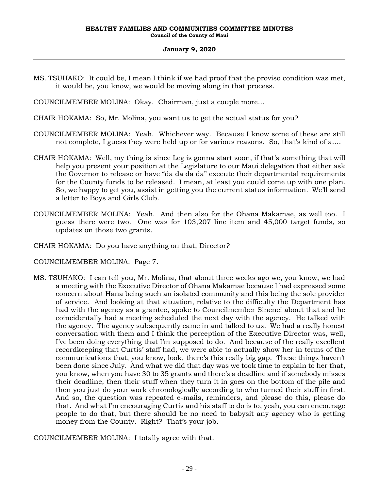MS. TSUHAKO: It could be, I mean I think if we had proof that the proviso condition was met, it would be, you know, we would be moving along in that process.

COUNCILMEMBER MOLINA: Okay. Chairman, just a couple more…

- CHAIR HOKAMA: So, Mr. Molina, you want us to get the actual status for you?
- COUNCILMEMBER MOLINA: Yeah. Whichever way. Because I know some of these are still not complete, I guess they were held up or for various reasons. So, that's kind of a….
- CHAIR HOKAMA: Well, my thing is since Leg is gonna start soon, if that's something that will help you present your position at the Legislature to our Maui delegation that either ask the Governor to release or have "da da da da" execute their departmental requirements for the County funds to be released. I mean, at least you could come up with one plan. So, we happy to get you, assist in getting you the current status information. We'll send a letter to Boys and Girls Club.
- COUNCILMEMBER MOLINA: Yeah. And then also for the Ohana Makamae, as well too. I guess there were two. One was for 103,207 line item and 45,000 target funds, so updates on those two grants.
- CHAIR HOKAMA: Do you have anything on that, Director?
- COUNCILMEMBER MOLINA: Page 7.
- MS. TSUHAKO: I can tell you, Mr. Molina, that about three weeks ago we, you know, we had a meeting with the Executive Director of Ohana Makamae because I had expressed some concern about Hana being such an isolated community and this being the sole provider of service. And looking at that situation, relative to the difficulty the Department has had with the agency as a grantee, spoke to Councilmember Sinenci about that and he coincidentally had a meeting scheduled the next day with the agency. He talked with the agency. The agency subsequently came in and talked to us. We had a really honest conversation with them and I think the perception of the Executive Director was, well, I've been doing everything that I'm supposed to do. And because of the really excellent recordkeeping that Curtis' staff had, we were able to actually show her in terms of the communications that, you know, look, there's this really big gap. These things haven't been done since July. And what we did that day was we took time to explain to her that, you know, when you have 30 to 35 grants and there's a deadline and if somebody misses their deadline, then their stuff when they turn it in goes on the bottom of the pile and then you just do your work chronologically according to who turned their stuff in first. And so, the question was repeated e-mails, reminders, and please do this, please do that. And what I'm encouraging Curtis and his staff to do is to, yeah, you can encourage people to do that, but there should be no need to babysit any agency who is getting money from the County. Right? That's your job.

COUNCILMEMBER MOLINA: I totally agree with that.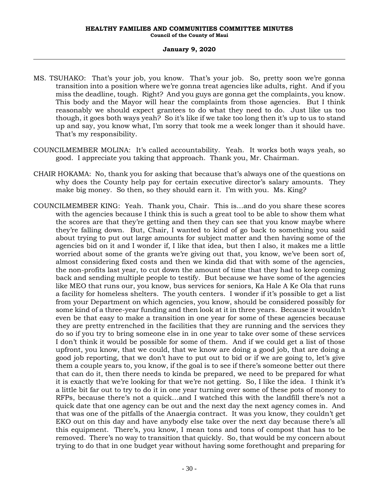- MS. TSUHAKO: That's your job, you know. That's your job. So, pretty soon we're gonna transition into a position where we're gonna treat agencies like adults, right. And if you miss the deadline, tough. Right? And you guys are gonna get the complaints, you know. This body and the Mayor will hear the complaints from those agencies. But I think reasonably we should expect grantees to do what they need to do. Just like us too though, it goes both ways yeah? So it's like if we take too long then it's up to us to stand up and say, you know what, I'm sorry that took me a week longer than it should have. That's my responsibility.
- COUNCILMEMBER MOLINA: It's called accountability. Yeah. It works both ways yeah, so good. I appreciate you taking that approach. Thank you, Mr. Chairman.
- CHAIR HOKAMA: No, thank you for asking that because that's always one of the questions on why does the County help pay for certain executive director's salary amounts. They make big money. So then, so they should earn it. I'm with you. Ms. King?
- COUNCILMEMBER KING: Yeah. Thank you, Chair. This is…and do you share these scores with the agencies because I think this is such a great tool to be able to show them what the scores are that they're getting and then they can see that you know maybe where they're falling down. But, Chair, I wanted to kind of go back to something you said about trying to put out large amounts for subject matter and then having some of the agencies bid on it and I wonder if, I like that idea, but then I also, it makes me a little worried about some of the grants we're giving out that, you know, we've been sort of, almost considering fixed costs and then we kinda did that with some of the agencies, the non-profits last year, to cut down the amount of time that they had to keep coming back and sending multiple people to testify. But because we have some of the agencies like MEO that runs our, you know, bus services for seniors, Ka Hale A Ke Ola that runs a facility for homeless shelters. The youth centers. I wonder if it's possible to get a list from your Department on which agencies, you know, should be considered possibly for some kind of a three-year funding and then look at it in three years. Because it wouldn't even be that easy to make a transition in one year for some of these agencies because they are pretty entrenched in the facilities that they are running and the services they do so if you try to bring someone else in in one year to take over some of these services I don't think it would be possible for some of them. And if we could get a list of those upfront, you know, that we could, that we know are doing a good job, that are doing a good job reporting, that we don't have to put out to bid or if we are going to, let's give them a couple years to, you know, if the goal is to see if there's someone better out there that can do it, then there needs to kinda be prepared, we need to be prepared for what it is exactly that we're looking for that we're not getting. So, I like the idea. I think it's a little bit far out to try to do it in one year turning over some of these pots of money to RFPs, because there's not a quick…and I watched this with the landfill there's not a quick date that one agency can be out and the next day the next agency comes in. And that was one of the pitfalls of the Anaergia contract. It was you know, they couldn't get EKO out on this day and have anybody else take over the next day because there's all this equipment. There's, you know, I mean tons and tons of compost that has to be removed. There's no way to transition that quickly. So, that would be my concern about trying to do that in one budget year without having some forethought and preparing for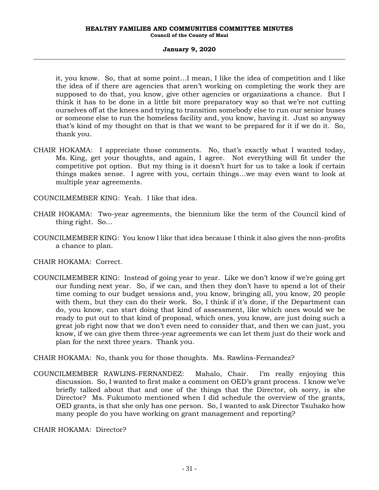it, you know. So, that at some point…I mean, I like the idea of competition and I like the idea of if there are agencies that aren't working on completing the work they are supposed to do that, you know, give other agencies or organizations a chance. But I think it has to be done in a little bit more preparatory way so that we're not cutting ourselves off at the knees and trying to transition somebody else to run our senior buses or someone else to run the homeless facility and, you know, having it. Just so anyway that's kind of my thought on that is that we want to be prepared for it if we do it. So, thank you.

- CHAIR HOKAMA: I appreciate those comments. No, that's exactly what I wanted today, Ms. King, get your thoughts, and again, I agree. Not everything will fit under the competitive pot option. But my thing is it doesn't hurt for us to take a look if certain things makes sense. I agree with you, certain things…we may even want to look at multiple year agreements.
- COUNCILMEMBER KING: Yeah. I like that idea.
- CHAIR HOKAMA: Two-year agreements, the biennium like the term of the Council kind of thing right. So…
- COUNCILMEMBER KING: You know I like that idea because I think it also gives the non-profits a chance to plan.

CHAIR HOKAMA: Correct.

- COUNCILMEMBER KING: Instead of going year to year. Like we don't know if we're going get our funding next year. So, if we can, and then they don't have to spend a lot of their time coming to our budget sessions and, you know, bringing all, you know, 20 people with them, but they can do their work. So, I think if it's done, if the Department can do, you know, can start doing that kind of assessment, like which ones would we be ready to put out to that kind of proposal, which ones, you know, are just doing such a great job right now that we don't even need to consider that, and then we can just, you know, if we can give them three-year agreements we can let them just do their work and plan for the next three years. Thank you.
- CHAIR HOKAMA: No, thank you for those thoughts. Ms. Rawlins-Fernandez?
- COUNCILMEMBER RAWLINS-FERNANDEZ: Mahalo, Chair. I'm really enjoying this discussion. So, I wanted to first make a comment on OED's grant process. I know we've briefly talked about that and one of the things that the Director, oh sorry, is she Director? Ms. Fukumoto mentioned when I did schedule the overview of the grants, OED grants, is that she only has one person. So, I wanted to ask Director Tsuhako how many people do you have working on grant management and reporting?

CHAIR HOKAMA: Director?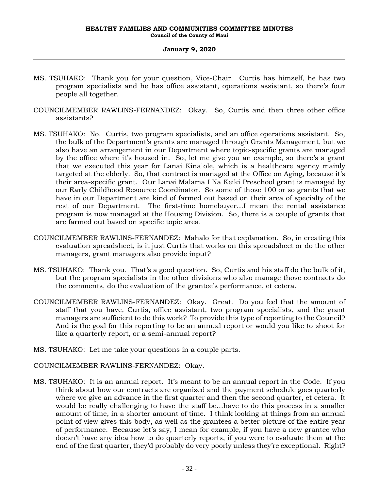- MS. TSUHAKO: Thank you for your question, Vice-Chair. Curtis has himself, he has two program specialists and he has office assistant, operations assistant, so there's four people all together.
- COUNCILMEMBER RAWLINS-FERNANDEZ: Okay. So, Curtis and then three other office assistants?
- MS. TSUHAKO: No. Curtis, two program specialists, and an office operations assistant. So, the bulk of the Department's grants are managed through Grants Management, but we also have an arrangement in our Department where topic-specific grants are managed by the office where it's housed in. So, let me give you an example, so there's a grant that we executed this year for Lanai Kina`ole, which is a healthcare agency mainly targeted at the elderly. So, that contract is managed at the Office on Aging, because it's their area-specific grant. Our Lanai Malama I Na Keiki Preschool grant is managed by our Early Childhood Resource Coordinator. So some of those 100 or so grants that we have in our Department are kind of farmed out based on their area of specialty of the rest of our Department. The first-time homebuyer…I mean the rental assistance program is now managed at the Housing Division. So, there is a couple of grants that are farmed out based on specific topic area.
- COUNCILMEMBER RAWLINS-FERNANDEZ: Mahalo for that explanation. So, in creating this evaluation spreadsheet, is it just Curtis that works on this spreadsheet or do the other managers, grant managers also provide input?
- MS. TSUHAKO: Thank you. That's a good question. So, Curtis and his staff do the bulk of it, but the program specialists in the other divisions who also manage those contracts do the comments, do the evaluation of the grantee's performance, et cetera.
- COUNCILMEMBER RAWLINS-FERNANDEZ: Okay. Great. Do you feel that the amount of staff that you have, Curtis, office assistant, two program specialists, and the grant managers are sufficient to do this work? To provide this type of reporting to the Council? And is the goal for this reporting to be an annual report or would you like to shoot for like a quarterly report, or a semi-annual report?
- MS. TSUHAKO: Let me take your questions in a couple parts.
- COUNCILMEMBER RAWLINS-FERNANDEZ: Okay.
- MS. TSUHAKO: It is an annual report. It's meant to be an annual report in the Code. If you think about how our contracts are organized and the payment schedule goes quarterly where we give an advance in the first quarter and then the second quarter, et cetera. It would be really challenging to have the staff be…have to do this process in a smaller amount of time, in a shorter amount of time. I think looking at things from an annual point of view gives this body, as well as the grantees a better picture of the entire year of performance. Because let's say, I mean for example, if you have a new grantee who doesn't have any idea how to do quarterly reports, if you were to evaluate them at the end of the first quarter, they'd probably do very poorly unless they're exceptional. Right?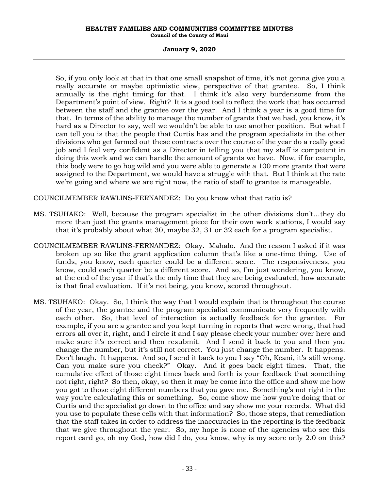#### **HEALTHY FAMILIES AND COMMUNITIES COMMITTEE MINUTES Council of the County of Maui**

#### **January 9, 2020**

So, if you only look at that in that one small snapshot of time, it's not gonna give you a really accurate or maybe optimistic view, perspective of that grantee. So, I think annually is the right timing for that. I think it's also very burdensome from the Department's point of view. Right? It is a good tool to reflect the work that has occurred between the staff and the grantee over the year. And I think a year is a good time for that. In terms of the ability to manage the number of grants that we had, you know, it's hard as a Director to say, well we wouldn't be able to use another position. But what I can tell you is that the people that Curtis has and the program specialists in the other divisions who get farmed out these contracts over the course of the year do a really good job and I feel very confident as a Director in telling you that my staff is competent in doing this work and we can handle the amount of grants we have. Now, if for example, this body were to go hog wild and you were able to generate a 100 more grants that were assigned to the Department, we would have a struggle with that. But I think at the rate we're going and where we are right now, the ratio of staff to grantee is manageable.

COUNCILMEMBER RAWLINS-FERNANDEZ: Do you know what that ratio is?

- MS. TSUHAKO: Well, because the program specialist in the other divisions don't…they do more than just the grants management piece for their own work stations, I would say that it's probably about what 30, maybe 32, 31 or 32 each for a program specialist.
- COUNCILMEMBER RAWLINS-FERNANDEZ: Okay. Mahalo. And the reason I asked if it was broken up so like the grant application column that's like a one-time thing. Use of funds, you know, each quarter could be a different score. The responsiveness, you know, could each quarter be a different score. And so, I'm just wondering, you know, at the end of the year if that's the only time that they are being evaluated, how accurate is that final evaluation. If it's not being, you know, scored throughout.
- MS. TSUHAKO: Okay. So, I think the way that I would explain that is throughout the course of the year, the grantee and the program specialist communicate very frequently with each other. So, that level of interaction is actually feedback for the grantee. For example, if you are a grantee and you kept turning in reports that were wrong, that had errors all over it, right, and I circle it and I say please check your number over here and make sure it's correct and then resubmit. And I send it back to you and then you change the number, but it's still not correct. You just change the number. It happens. Don't laugh. It happens. And so, I send it back to you I say "Oh, Keani, it's still wrong. Can you make sure you check?" Okay. And it goes back eight times. That, the cumulative effect of those eight times back and forth is your feedback that something not right, right? So then, okay, so then it may be come into the office and show me how you got to those eight different numbers that you gave me. Something's not right in the way you're calculating this or something. So, come show me how you're doing that or Curtis and the specialist go down to the office and say show me your records. What did you use to populate these cells with that information? So, those steps, that remediation that the staff takes in order to address the inaccuracies in the reporting is the feedback that we give throughout the year. So, my hope is none of the agencies who see this report card go, oh my God, how did I do, you know, why is my score only 2.0 on this?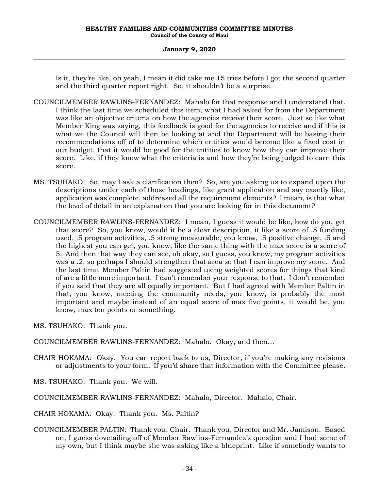Is it, they're like, oh yeah, I mean it did take me 15 tries before I got the second quarter and the third quarter report right. So, it shouldn't be a surprise.

- COUNCILMEMBER RAWLINS-FERNANDEZ: Mahalo for that response and I understand that. I think the last time we scheduled this item, what I had asked for from the Department was like an objective criteria on how the agencies receive their score. Just so like what Member King was saying, this feedback is good for the agencies to receive and if this is what we the Council will then be looking at and the Department will be basing their recommendations off of to determine which entities would become like a fixed cost in our budget, that it would be good for the entities to know how they can improve their score. Like, if they know what the criteria is and how they're being judged to earn this score.
- MS. TSUHAKO: So, may I ask a clarification then? So, are you asking us to expand upon the descriptions under each of those headings, like grant application and say exactly like, application was complete, addressed all the requirement elements? I mean, is that what the level of detail in an explanation that you are looking for in this document?
- COUNCILMEMBER RAWLINS-FERNANDEZ: I mean, I guess it would be like, how do you get that score? So, you know, would it be a clear description, it like a score of .5 funding used, .5 program activities, .5 strong measurable, you know, .5 positive change, .5 and the highest you can get, you know, like the same thing with the max score is a score of 5. And then that way they can see, oh okay, so I guess, you know, my program activities was a .2, so perhaps I should strengthen that area so that I can improve my score. And the last time, Member Paltin had suggested using weighted scores for things that kind of are a little more important. I can't remember your response to that. I don't remember if you said that they are all equally important. But I had agreed with Member Paltin in that, you know, meeting the community needs, you know, is probably the most important and maybe instead of an equal score of max five points, it would be, you know, max ten points or something.
- MS. TSUHAKO: Thank you.
- COUNCILMEMBER RAWLINS-FERNANDEZ: Mahalo. Okay, and then…
- CHAIR HOKAMA: Okay. You can report back to us, Director, if you're making any revisions or adjustments to your form. If you'd share that information with the Committee please.
- MS. TSUHAKO: Thank you. We will.
- COUNCILMEMBER RAWLINS-FERNANDEZ: Mahalo, Director. Mahalo, Chair.
- CHAIR HOKAMA: Okay. Thank you. Ms. Paltin?
- COUNCILMEMBER PALTIN: Thank you, Chair. Thank you, Director and Mr. Jamison. Based on, I guess dovetailing off of Member Rawlins-Fernandez's question and I had some of my own, but I think maybe she was asking like a blueprint. Like if somebody wants to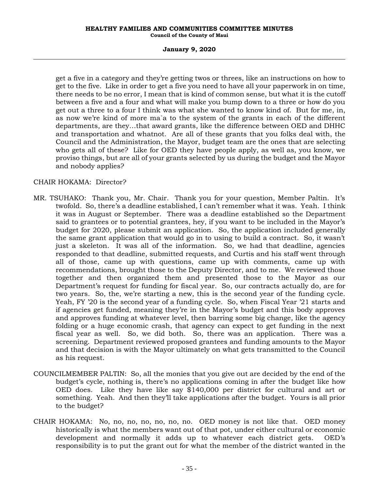#### **HEALTHY FAMILIES AND COMMUNITIES COMMITTEE MINUTES Council of the County of Maui**

# **January 9, 2020**

get a five in a category and they're getting twos or threes, like an instructions on how to get to the five. Like in order to get a five you need to have all your paperwork in on time, there needs to be no error, I mean that is kind of common sense, but what it is the cutoff between a five and a four and what will make you bump down to a three or how do you get out a three to a four I think was what she wanted to know kind of. But for me, in, as now we're kind of more ma`a to the system of the grants in each of the different departments, are they…that award grants, like the difference between OED and DHHC and transportation and whatnot. Are all of these grants that you folks deal with, the Council and the Administration, the Mayor, budget team are the ones that are selecting who gets all of these? Like for OED they have people apply, as well as, you know, we proviso things, but are all of your grants selected by us during the budget and the Mayor and nobody applies?

# CHAIR HOKAMA: Director?

- MR. TSUHAKO: Thank you, Mr. Chair. Thank you for your question, Member Paltin. It's twofold. So, there's a deadline established, I can't remember what it was. Yeah. I think it was in August or September. There was a deadline established so the Department said to grantees or to potential grantees, hey, if you want to be included in the Mayor's budget for 2020, please submit an application. So, the application included generally the same grant application that would go in to using to build a contract. So, it wasn't just a skeleton. It was all of the information. So, we had that deadline, agencies responded to that deadline, submitted requests, and Curtis and his staff went through all of those, came up with questions, came up with comments, came up with recommendations, brought those to the Deputy Director, and to me. We reviewed those together and then organized them and presented those to the Mayor as our Department's request for funding for fiscal year. So, our contracts actually do, are for two years. So, the, we're starting a new, this is the second year of the funding cycle. Yeah, FY '20 is the second year of a funding cycle. So, when Fiscal Year '21 starts and if agencies get funded, meaning they're in the Mayor's budget and this body approves and approves funding at whatever level, then barring some big change, like the agency folding or a huge economic crash, that agency can expect to get funding in the next fiscal year as well. So, we did both. So, there was an application. There was a screening. Department reviewed proposed grantees and funding amounts to the Mayor and that decision is with the Mayor ultimately on what gets transmitted to the Council as his request.
- COUNCILMEMBER PALTIN: So, all the monies that you give out are decided by the end of the budget's cycle, nothing is, there's no applications coming in after the budget like how OED does. Like they have like say \$140,000 per district for cultural and art or something. Yeah. And then they'll take applications after the budget. Yours is all prior to the budget?
- CHAIR HOKAMA: No, no, no, no, no, no, no. OED money is not like that. OED money historically is what the members want out of that pot, under either cultural or economic development and normally it adds up to whatever each district gets. OED's responsibility is to put the grant out for what the member of the district wanted in the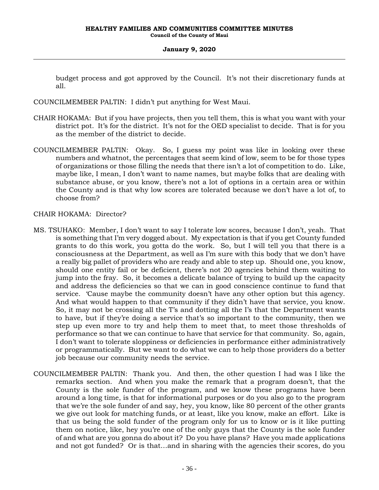budget process and got approved by the Council. It's not their discretionary funds at all.

COUNCILMEMBER PALTIN: I didn't put anything for West Maui.

- CHAIR HOKAMA: But if you have projects, then you tell them, this is what you want with your district pot. It's for the district. It's not for the OED specialist to decide. That is for you as the member of the district to decide.
- COUNCILMEMBER PALTIN: Okay. So, I guess my point was like in looking over these numbers and whatnot, the percentages that seem kind of low, seem to be for those types of organizations or those filling the needs that there isn't a lot of competition to do. Like, maybe like, I mean, I don't want to name names, but maybe folks that are dealing with substance abuse, or you know, there's not a lot of options in a certain area or within the County and is that why low scores are tolerated because we don't have a lot of, to choose from?

# CHAIR HOKAMA: Director?

- MS. TSUHAKO: Member, I don't want to say I tolerate low scores, because I don't, yeah. That is something that I'm very dogged about. My expectation is that if you get County funded grants to do this work, you gotta do the work. So, but I will tell you that there is a consciousness at the Department, as well as I'm sure with this body that we don't have a really big pallet of providers who are ready and able to step up. Should one, you know, should one entity fail or be deficient, there's not 20 agencies behind them waiting to jump into the fray. So, it becomes a delicate balance of trying to build up the capacity and address the deficiencies so that we can in good conscience continue to fund that service. 'Cause maybe the community doesn't have any other option but this agency. And what would happen to that community if they didn't have that service, you know. So, it may not be crossing all the T's and dotting all the I's that the Department wants to have, but if they're doing a service that's so important to the community, then we step up even more to try and help them to meet that, to meet those thresholds of performance so that we can continue to have that service for that community. So, again, I don't want to tolerate sloppiness or deficiencies in performance either administratively or programmatically. But we want to do what we can to help those providers do a better job because our community needs the service.
- COUNCILMEMBER PALTIN: Thank you. And then, the other question I had was I like the remarks section. And when you make the remark that a program doesn't, that the County is the sole funder of the program, and we know these programs have been around a long time, is that for informational purposes or do you also go to the program that we're the sole funder of and say, hey, you know, like 80 percent of the other grants we give out look for matching funds, or at least, like you know, make an effort. Like is that us being the sold funder of the program only for us to know or is it like putting them on notice, like, hey you're one of the only guys that the County is the sole funder of and what are you gonna do about it? Do you have plans? Have you made applications and not got funded? Or is that…and in sharing with the agencies their scores, do you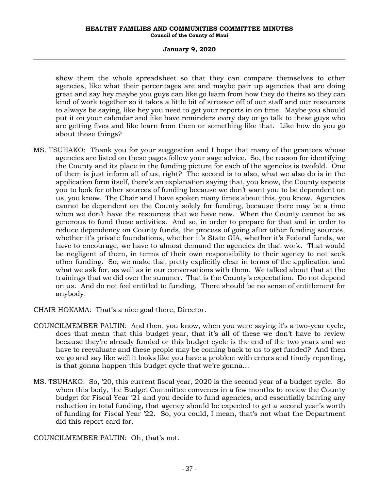#### **HEALTHY FAMILIES AND COMMUNITIES COMMITTEE MINUTES Council of the County of Maui**

# **January 9, 2020**

show them the whole spreadsheet so that they can compare themselves to other agencies, like what their percentages are and maybe pair up agencies that are doing great and say hey maybe you guys can like go learn from how they do theirs so they can kind of work together so it takes a little bit of stressor off of our staff and our resources to always be saying, like hey you need to get your reports in on time. Maybe you should put it on your calendar and like have reminders every day or go talk to these guys who are getting fives and like learn from them or something like that. Like how do you go about those things?

- MS. TSUHAKO: Thank you for your suggestion and I hope that many of the grantees whose agencies are listed on these pages follow your sage advice. So, the reason for identifying the County and its place in the funding picture for each of the agencies is twofold. One of them is just inform all of us, right? The second is to also, what we also do is in the application form itself, there's an explanation saying that, you know, the County expects you to look for other sources of funding because we don't want you to be dependent on us, you know. The Chair and I have spoken many times about this, you know. Agencies cannot be dependent on the County solely for funding, because there may be a time when we don't have the resources that we have now. When the County cannot be as generous to fund these activities. And so, in order to prepare for that and in order to reduce dependency on County funds, the process of going after other funding sources, whether it's private foundations, whether it's State GIA, whether it's Federal funds, we have to encourage, we have to almost demand the agencies do that work. That would be negligent of them, in terms of their own responsibility to their agency to not seek other funding. So, we make that pretty explicitly clear in terms of the application and what we ask for, as well as in our conversations with them. We talked about that at the trainings that we did over the summer. That is the County's expectation. Do not depend on us. And do not feel entitled to funding. There should be no sense of entitlement for anybody.
- CHAIR HOKAMA: That's a nice goal there, Director.
- COUNCILMEMBER PALTIN: And then, you know, when you were saying it's a two-year cycle, does that mean that this budget year, that it's all of these we don't have to review because they're already funded or this budget cycle is the end of the two years and we have to reevaluate and these people may be coming back to us to get funded? And then we go and say like well it looks like you have a problem with errors and timely reporting, is that gonna happen this budget cycle that we're gonna…
- MS. TSUHAKO: So, '20, this current fiscal year, 2020 is the second year of a budget cycle. So when this body, the Budget Committee convenes in a few months to review the County budget for Fiscal Year '21 and you decide to fund agencies, and essentially barring any reduction in total funding, that agency should be expected to get a second year's worth of funding for Fiscal Year '22. So, you could, I mean, that's not what the Department did this report card for.

COUNCILMEMBER PALTIN: Oh, that's not.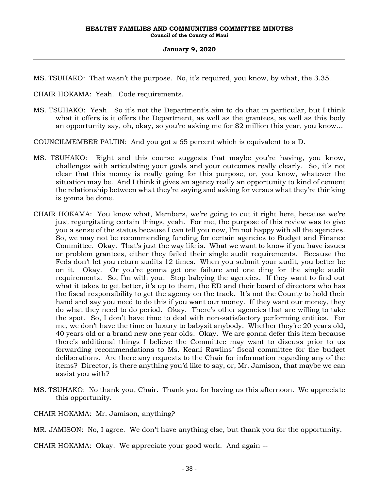MS. TSUHAKO: That wasn't the purpose. No, it's required, you know, by what, the 3.35.

CHAIR HOKAMA: Yeah. Code requirements.

MS. TSUHAKO: Yeah. So it's not the Department's aim to do that in particular, but I think what it offers is it offers the Department, as well as the grantees, as well as this body an opportunity say, oh, okay, so you're asking me for \$2 million this year, you know…

COUNCILMEMBER PALTIN: And you got a 65 percent which is equivalent to a D.

- MS. TSUHAKO: Right and this course suggests that maybe you're having, you know, challenges with articulating your goals and your outcomes really clearly. So, it's not clear that this money is really going for this purpose, or, you know, whatever the situation may be. And I think it gives an agency really an opportunity to kind of cement the relationship between what they're saying and asking for versus what they're thinking is gonna be done.
- CHAIR HOKAMA: You know what, Members, we're going to cut it right here, because we're just regurgitating certain things, yeah. For me, the purpose of this review was to give you a sense of the status because I can tell you now, I'm not happy with all the agencies. So, we may not be recommending funding for certain agencies to Budget and Finance Committee. Okay. That's just the way life is. What we want to know if you have issues or problem grantees, either they failed their single audit requirements. Because the Feds don't let you return audits 12 times. When you submit your audit, you better be on it. Okay. Or you're gonna get one failure and one ding for the single audit requirements. So, I'm with you. Stop babying the agencies. If they want to find out what it takes to get better, it's up to them, the ED and their board of directors who has the fiscal responsibility to get the agency on the track. It's not the County to hold their hand and say you need to do this if you want our money. If they want our money, they do what they need to do period. Okay. There's other agencies that are willing to take the spot. So, I don't have time to deal with non-satisfactory performing entities. For me, we don't have the time or luxury to babysit anybody. Whether they're 20 years old, 40 years old or a brand new one year olds. Okay. We are gonna defer this item because there's additional things I believe the Committee may want to discuss prior to us forwarding recommendations to Ms. Keani Rawlins' fiscal committee for the budget deliberations. Are there any requests to the Chair for information regarding any of the items? Director, is there anything you'd like to say, or, Mr. Jamison, that maybe we can assist you with?
- MS. TSUHAKO: No thank you, Chair. Thank you for having us this afternoon. We appreciate this opportunity.

CHAIR HOKAMA: Mr. Jamison, anything?

MR. JAMISON: No, I agree. We don't have anything else, but thank you for the opportunity.

CHAIR HOKAMA: Okay. We appreciate your good work. And again --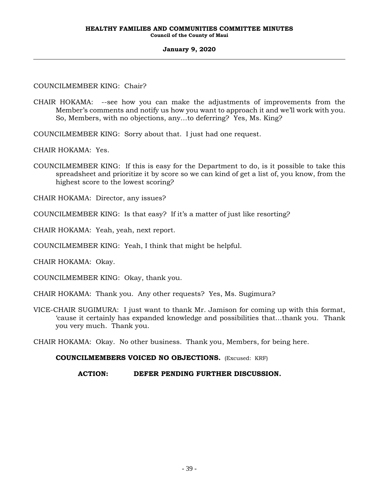# COUNCILMEMBER KING: Chair?

- CHAIR HOKAMA: --see how you can make the adjustments of improvements from the Member's comments and notify us how you want to approach it and we'll work with you. So, Members, with no objections, any…to deferring? Yes, Ms. King?
- COUNCILMEMBER KING: Sorry about that. I just had one request.

CHAIR HOKAMA: Yes.

COUNCILMEMBER KING: If this is easy for the Department to do, is it possible to take this spreadsheet and prioritize it by score so we can kind of get a list of, you know, from the highest score to the lowest scoring?

CHAIR HOKAMA: Director, any issues?

COUNCILMEMBER KING: Is that easy? If it's a matter of just like resorting?

CHAIR HOKAMA: Yeah, yeah, next report.

COUNCILMEMBER KING: Yeah, I think that might be helpful.

CHAIR HOKAMA: Okay.

COUNCILMEMBER KING: Okay, thank you.

CHAIR HOKAMA: Thank you. Any other requests? Yes, Ms. Sugimura?

VICE-CHAIR SUGIMURA: I just want to thank Mr. Jamison for coming up with this format, 'cause it certainly has expanded knowledge and possibilities that…thank you. Thank you very much. Thank you.

CHAIR HOKAMA: Okay. No other business. Thank you, Members, for being here.

# **COUNCILMEMBERS VOICED NO OBJECTIONS.** (Excused: KRF)

# **ACTION: DEFER PENDING FURTHER DISCUSSION.**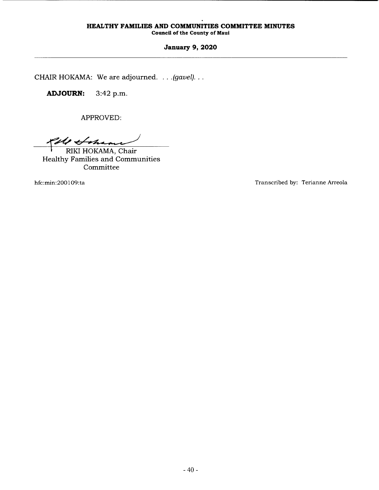# **HEALTHY FAMILIES AND COMMUNITIES COMMITTEE MINUTES**

**Council of the County of Maui** 

# **January 9, 2020**

CHAIR HOKAMA: We are adjourned. . . . *(gavel).* . .

**ADJOURN:** 3:42 p.m.

APPROVED:

Pele Sohame

RIKI HOKAMA, Chair Healthy Families and Communities Committee

hfc:min:200109:ta

Transcribed by: Terianne Arreola